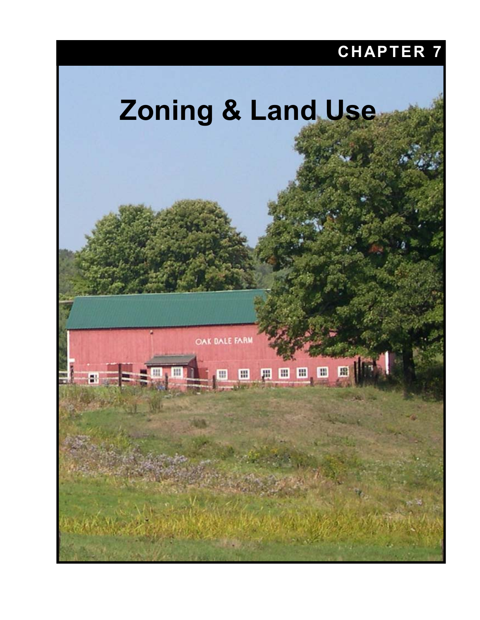# **CHAPTER 7**

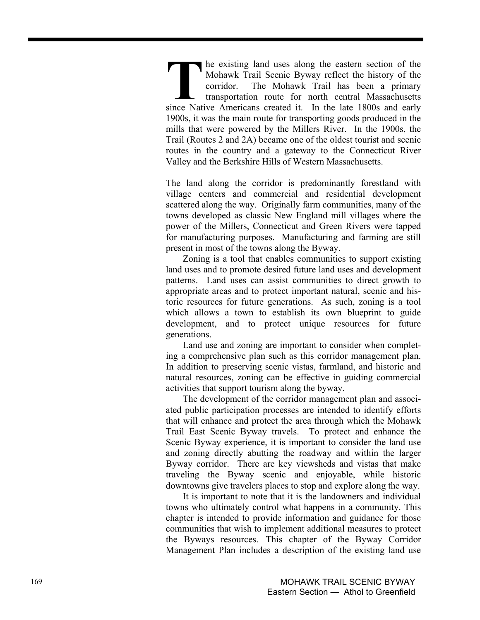he existing land uses along the eastern section of the Mohawk Trail Scenic Byway reflect the history of the corridor. The Mohawk Trail has been a primary transportation route for north central Massachusetts **Solution** the existing land uses along the eastern section of the Mohawk Trail Scenic Byway reflect the history of the corridor. The Mohawk Trail has been a primary transportation route for north central Massachusetts sin 1900s, it was the main route for transporting goods produced in the mills that were powered by the Millers River. In the 1900s, the Trail (Routes 2 and 2A) became one of the oldest tourist and scenic routes in the country and a gateway to the Connecticut River Valley and the Berkshire Hills of Western Massachusetts.

The land along the corridor is predominantly forestland with village centers and commercial and residential development scattered along the way. Originally farm communities, many of the towns developed as classic New England mill villages where the power of the Millers, Connecticut and Green Rivers were tapped for manufacturing purposes. Manufacturing and farming are still present in most of the towns along the Byway.

Zoning is a tool that enables communities to support existing land uses and to promote desired future land uses and development patterns. Land uses can assist communities to direct growth to appropriate areas and to protect important natural, scenic and historic resources for future generations. As such, zoning is a tool which allows a town to establish its own blueprint to guide development, and to protect unique resources for future generations.

Land use and zoning are important to consider when completing a comprehensive plan such as this corridor management plan. In addition to preserving scenic vistas, farmland, and historic and natural resources, zoning can be effective in guiding commercial activities that support tourism along the byway.

The development of the corridor management plan and associated public participation processes are intended to identify efforts that will enhance and protect the area through which the Mohawk Trail East Scenic Byway travels. To protect and enhance the Scenic Byway experience, it is important to consider the land use and zoning directly abutting the roadway and within the larger Byway corridor. There are key viewsheds and vistas that make traveling the Byway scenic and enjoyable, while historic downtowns give travelers places to stop and explore along the way.

It is important to note that it is the landowners and individual towns who ultimately control what happens in a community. This chapter is intended to provide information and guidance for those communities that wish to implement additional measures to protect the Byways resources. This chapter of the Byway Corridor Management Plan includes a description of the existing land use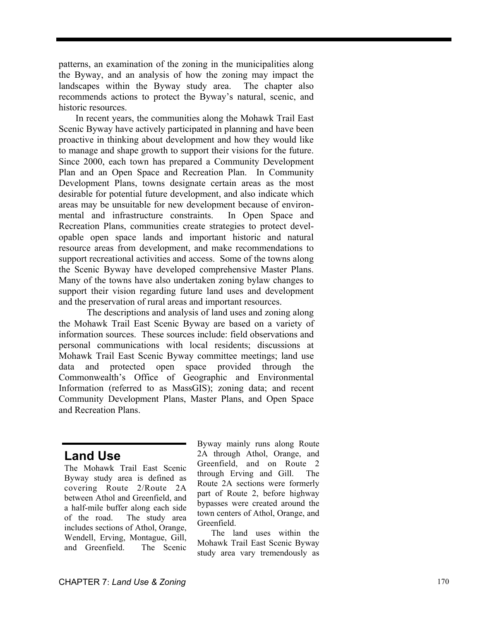patterns, an examination of the zoning in the municipalities along the Byway, and an analysis of how the zoning may impact the landscapes within the Byway study area. The chapter also recommends actions to protect the Byway's natural, scenic, and historic resources.

In recent years, the communities along the Mohawk Trail East Scenic Byway have actively participated in planning and have been proactive in thinking about development and how they would like to manage and shape growth to support their visions for the future. Since 2000, each town has prepared a Community Development Plan and an Open Space and Recreation Plan. In Community Development Plans, towns designate certain areas as the most desirable for potential future development, and also indicate which areas may be unsuitable for new development because of environmental and infrastructure constraints. In Open Space and Recreation Plans, communities create strategies to protect developable open space lands and important historic and natural resource areas from development, and make recommendations to support recreational activities and access. Some of the towns along the Scenic Byway have developed comprehensive Master Plans. Many of the towns have also undertaken zoning bylaw changes to support their vision regarding future land uses and development and the preservation of rural areas and important resources.

The descriptions and analysis of land uses and zoning along the Mohawk Trail East Scenic Byway are based on a variety of information sources. These sources include: field observations and personal communications with local residents; discussions at Mohawk Trail East Scenic Byway committee meetings; land use data and protected open space provided through the Commonwealth's Office of Geographic and Environmental Information (referred to as MassGIS); zoning data; and recent Community Development Plans, Master Plans, and Open Space and Recreation Plans.

## **Land Use**

The Mohawk Trail East Scenic Byway study area is defined as covering Route 2/Route 2A between Athol and Greenfield, and a half-mile buffer along each side of the road. The study area includes sections of Athol, Orange, Wendell, Erving, Montague, Gill, and Greenfield. The Scenic

Byway mainly runs along Route 2A through Athol, Orange, and Greenfield, and on Route 2 through Erving and Gill. The Route 2A sections were formerly part of Route 2, before highway bypasses were created around the town centers of Athol, Orange, and Greenfield.

The land uses within the Mohawk Trail East Scenic Byway study area vary tremendously as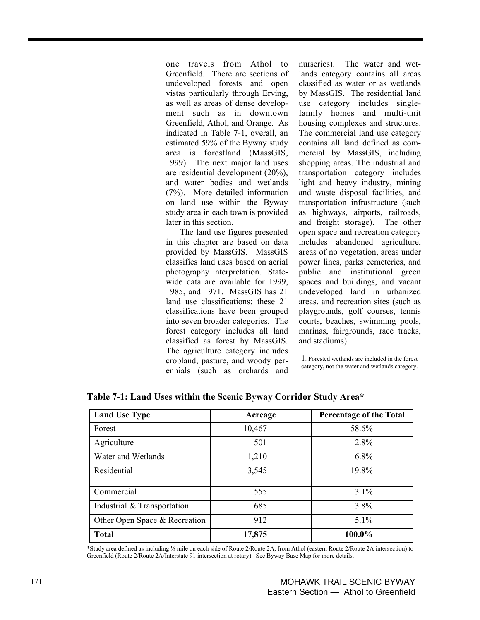one travels from Athol to Greenfield. There are sections of undeveloped forests and open vistas particularly through Erving, as well as areas of dense development such as in downtown Greenfield, Athol, and Orange. As indicated in Table 7-1, overall, an estimated 59% of the Byway study area is forestland (MassGIS, 1999). The next major land uses are residential development (20%), and water bodies and wetlands (7%). More detailed information on land use within the Byway study area in each town is provided later in this section.

The land use figures presented in this chapter are based on data provided by MassGIS. MassGIS classifies land uses based on aerial photography interpretation. Statewide data are available for 1999, 1985, and 1971. MassGIS has 21 land use classifications; these 21 classifications have been grouped into seven broader categories. The forest category includes all land classified as forest by MassGIS. The agriculture category includes cropland, pasture, and woody perennials (such as orchards and nurseries). The water and wetlands category contains all areas classified as water or as wetlands by MassGIS.<sup>1</sup> The residential land use category includes singlefamily homes and multi-unit housing complexes and structures. The commercial land use category contains all land defined as commercial by MassGIS, including shopping areas. The industrial and transportation category includes light and heavy industry, mining and waste disposal facilities, and transportation infrastructure (such as highways, airports, railroads, and freight storage). The other open space and recreation category includes abandoned agriculture, areas of no vegetation, areas under power lines, parks cemeteries, and public and institutional green spaces and buildings, and vacant undeveloped land in urbanized areas, and recreation sites (such as playgrounds, golf courses, tennis courts, beaches, swimming pools, marinas, fairgrounds, race tracks, and stadiums).

1. Forested wetlands are included in the forest category, not the water and wetlands category.

| <b>Land Use Type</b>          | Acreage | <b>Percentage of the Total</b> |
|-------------------------------|---------|--------------------------------|
| Forest                        | 10,467  | 58.6%                          |
| Agriculture                   | 501     | 2.8%                           |
| Water and Wetlands            | 1,210   | $6.8\%$                        |
| Residential                   | 3,545   | 19.8%                          |
| Commercial                    | 555     | $3.1\%$                        |
| Industrial & Transportation   | 685     | 3.8%                           |
| Other Open Space & Recreation | 912     | $5.1\%$                        |
| <b>Total</b>                  | 17,875  | 100.0%                         |

**Table 7-1: Land Uses within the Scenic Byway Corridor Study Area\*** 

\*Study area defined as including ½ mile on each side of Route 2/Route 2A, from Athol (eastern Route 2/Route 2A intersection) to Greenfield (Route 2/Route 2A/Interstate 91 intersection at rotary). See Byway Base Map for more details.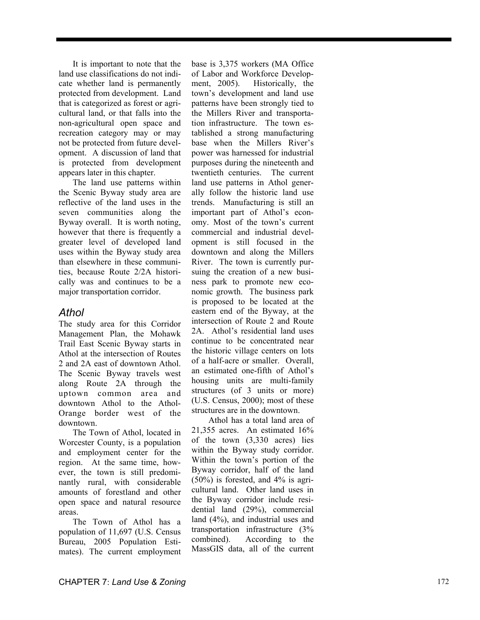It is important to note that the land use classifications do not indicate whether land is permanently protected from development. Land that is categorized as forest or agricultural land, or that falls into the non-agricultural open space and recreation category may or may not be protected from future development. A discussion of land that is protected from development appears later in this chapter.

The land use patterns within the Scenic Byway study area are reflective of the land uses in the seven communities along the Byway overall. It is worth noting, however that there is frequently a greater level of developed land uses within the Byway study area than elsewhere in these communities, because Route 2/2A historically was and continues to be a major transportation corridor.

#### *Athol*

The study area for this Corridor Management Plan, the Mohawk Trail East Scenic Byway starts in Athol at the intersection of Routes 2 and 2A east of downtown Athol. The Scenic Byway travels west along Route 2A through the uptown common area and downtown Athol to the Athol-Orange border west of the downtown.

The Town of Athol, located in Worcester County, is a population and employment center for the region. At the same time, however, the town is still predominantly rural, with considerable amounts of forestland and other open space and natural resource areas.

The Town of Athol has a population of 11,697 (U.S. Census Bureau, 2005 Population Estimates). The current employment base is 3,375 workers (MA Office of Labor and Workforce Development, 2005). Historically, the town's development and land use patterns have been strongly tied to the Millers River and transportation infrastructure. The town established a strong manufacturing base when the Millers River's power was harnessed for industrial purposes during the nineteenth and twentieth centuries. The current land use patterns in Athol generally follow the historic land use trends. Manufacturing is still an important part of Athol's economy. Most of the town's current commercial and industrial development is still focused in the downtown and along the Millers River. The town is currently pursuing the creation of a new business park to promote new economic growth. The business park is proposed to be located at the eastern end of the Byway, at the intersection of Route 2 and Route 2A. Athol's residential land uses continue to be concentrated near the historic village centers on lots of a half-acre or smaller. Overall, an estimated one-fifth of Athol's housing units are multi-family structures (of 3 units or more) (U.S. Census, 2000); most of these structures are in the downtown.

Athol has a total land area of 21,355 acres. An estimated 16% of the town (3,330 acres) lies within the Byway study corridor. Within the town's portion of the Byway corridor, half of the land (50%) is forested, and 4% is agricultural land. Other land uses in the Byway corridor include residential land (29%), commercial land (4%), and industrial uses and transportation infrastructure (3% combined). According to the MassGIS data, all of the current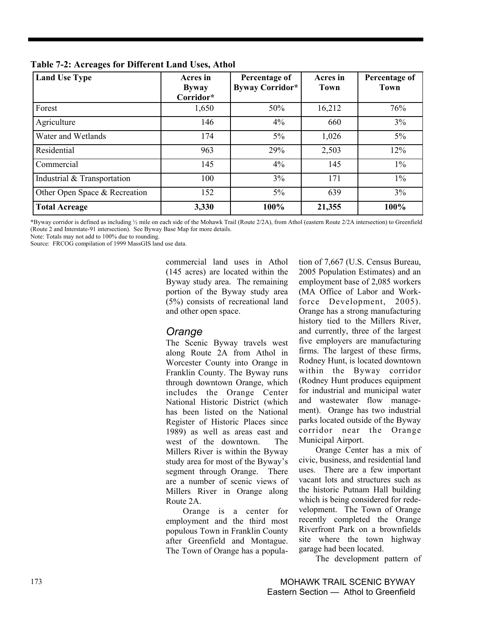| <b>Land Use Type</b>          | Acres in<br><b>Byway</b><br>Corridor* | Percentage of<br>Byway Corridor* | Acres in<br><b>Town</b> | Percentage of<br><b>Town</b> |
|-------------------------------|---------------------------------------|----------------------------------|-------------------------|------------------------------|
| Forest                        | 1,650                                 | 50%                              | 16,212                  | 76%                          |
| Agriculture                   | 146                                   | 4%                               | 660                     | $3\%$                        |
| Water and Wetlands            | 174                                   | $5\%$                            | 1,026                   | $5\%$                        |
| Residential                   | 963                                   | 29%                              | 2,503                   | 12%                          |
| Commercial                    | 145                                   | 4%                               | 145                     | $1\%$                        |
| Industrial & Transportation   | 100                                   | 3%                               | 171                     | $1\%$                        |
| Other Open Space & Recreation | 152                                   | $5\%$                            | 639                     | 3%                           |
| <b>Total Acreage</b>          | 3,330                                 | 100%                             | 21,355                  | 100%                         |

**Table 7-2: Acreages for Different Land Uses, Athol** 

\*Byway corridor is defined as including  $\frac{1}{2}$  mile on each side of the Mohawk Trail (Route 2/2A), from Athol (eastern Route 2/2A intersection) to Greenfield (Route 2 and Interstate-91 intersection). See Byway Base Map for more details.

Note: Totals may not add to 100% due to rounding.

Source: FRCOG compilation of 1999 MassGIS land use data.

commercial land uses in Athol (145 acres) are located within the Byway study area. The remaining portion of the Byway study area (5%) consists of recreational land and other open space.

## *Orange*

The Scenic Byway travels west along Route 2A from Athol in Worcester County into Orange in Franklin County. The Byway runs through downtown Orange, which includes the Orange Center National Historic District (which has been listed on the National Register of Historic Places since 1989) as well as areas east and west of the downtown. The Millers River is within the Byway study area for most of the Byway's segment through Orange. There are a number of scenic views of Millers River in Orange along Route 2A.

Orange is a center for employment and the third most populous Town in Franklin County after Greenfield and Montague. The Town of Orange has a population of 7,667 (U.S. Census Bureau, 2005 Population Estimates) and an employment base of 2,085 workers (MA Office of Labor and Workforce Development, 2005). Orange has a strong manufacturing history tied to the Millers River, and currently, three of the largest five employers are manufacturing firms. The largest of these firms, Rodney Hunt, is located downtown within the Byway corridor (Rodney Hunt produces equipment for industrial and municipal water and wastewater flow management). Orange has two industrial parks located outside of the Byway corridor near the Orange Municipal Airport.

Orange Center has a mix of civic, business, and residential land uses. There are a few important vacant lots and structures such as the historic Putnam Hall building which is being considered for redevelopment. The Town of Orange recently completed the Orange Riverfront Park on a brownfields site where the town highway garage had been located.

The development pattern of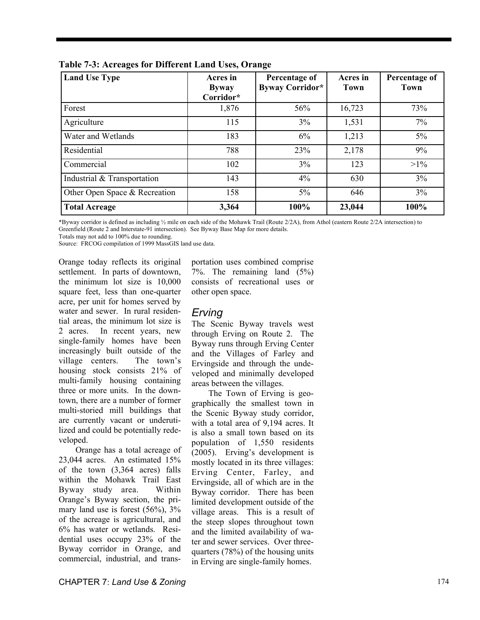| <b>Land Use Type</b>          | Acres in<br><b>Byway</b><br>Corridor* | Percentage of<br>Byway Corridor* | Acres in<br>Town | Percentage of<br><b>Town</b> |
|-------------------------------|---------------------------------------|----------------------------------|------------------|------------------------------|
| Forest                        | 1,876                                 | 56%                              | 16,723           | 73%                          |
| Agriculture                   | 115                                   | 3%                               | 1,531            | 7%                           |
| Water and Wetlands            | 183                                   | 6%                               | 1,213            | $5\%$                        |
| Residential                   | 788                                   | 23%                              | 2,178            | 9%                           |
| Commercial                    | 102                                   | 3%                               | 123              | $>1\%$                       |
| Industrial & Transportation   | 143                                   | 4%                               | 630              | 3%                           |
| Other Open Space & Recreation | 158                                   | $5\%$                            | 646              | 3%                           |
| <b>Total Acreage</b>          | 3,364                                 | 100%                             | 23,044           | 100%                         |

**Table 7-3: Acreages for Different Land Uses, Orange** 

\*Byway corridor is defined as including ½ mile on each side of the Mohawk Trail (Route 2/2A), from Athol (eastern Route 2/2A intersection) to Greenfield (Route 2 and Interstate-91 intersection). See Byway Base Map for more details.

Totals may not add to 100% due to rounding.

Source: FRCOG compilation of 1999 MassGIS land use data.

Orange today reflects its original settlement. In parts of downtown, the minimum lot size is 10,000 square feet, less than one-quarter acre, per unit for homes served by water and sewer. In rural residential areas, the minimum lot size is 2 acres. In recent years, new single-family homes have been increasingly built outside of the village centers. The town's housing stock consists 21% of multi-family housing containing three or more units. In the downtown, there are a number of former multi-storied mill buildings that are currently vacant or underutilized and could be potentially redeveloped.

Orange has a total acreage of 23,044 acres. An estimated 15% of the town (3,364 acres) falls within the Mohawk Trail East Byway study area. Within Orange's Byway section, the primary land use is forest (56%), 3% of the acreage is agricultural, and 6% has water or wetlands. Residential uses occupy 23% of the Byway corridor in Orange, and commercial, industrial, and transportation uses combined comprise 7%. The remaining land (5%) consists of recreational uses or other open space.

#### *Erving*

The Scenic Byway travels west through Erving on Route 2. The Byway runs through Erving Center and the Villages of Farley and Ervingside and through the undeveloped and minimally developed areas between the villages.

The Town of Erving is geographically the smallest town in the Scenic Byway study corridor, with a total area of 9,194 acres. It is also a small town based on its population of 1,550 residents (2005). Erving's development is mostly located in its three villages: Erving Center, Farley, and Ervingside, all of which are in the Byway corridor. There has been limited development outside of the village areas. This is a result of the steep slopes throughout town and the limited availability of water and sewer services. Over threequarters (78%) of the housing units in Erving are single-family homes.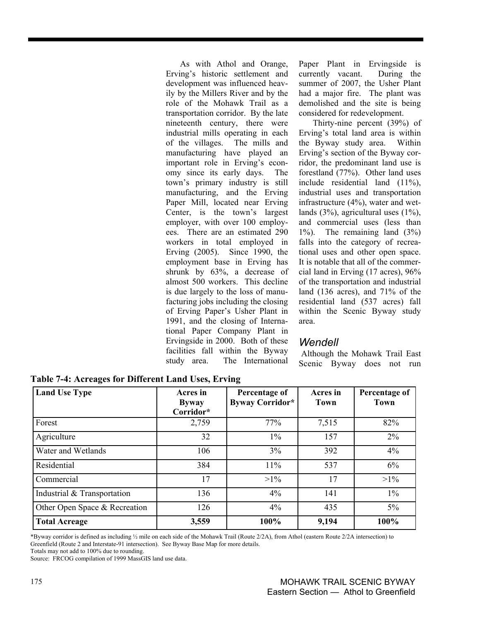As with Athol and Orange, Erving's historic settlement and development was influenced heavily by the Millers River and by the role of the Mohawk Trail as a transportation corridor. By the late nineteenth century, there were industrial mills operating in each of the villages. The mills and manufacturing have played an important role in Erving's economy since its early days. The town's primary industry is still manufacturing, and the Erving Paper Mill, located near Erving Center, is the town's largest employer, with over 100 employees. There are an estimated 290 workers in total employed in Erving (2005). Since 1990, the employment base in Erving has shrunk by 63%, a decrease of almost 500 workers. This decline is due largely to the loss of manufacturing jobs including the closing of Erving Paper's Usher Plant in 1991, and the closing of International Paper Company Plant in Ervingside in 2000. Both of these facilities fall within the Byway study area. The International Paper Plant in Ervingside is currently vacant. During the summer of 2007, the Usher Plant had a major fire. The plant was demolished and the site is being considered for redevelopment.

Thirty-nine percent (39%) of Erving's total land area is within the Byway study area. Within Erving's section of the Byway corridor, the predominant land use is forestland (77%). Other land uses include residential land (11%), industrial uses and transportation infrastructure (4%), water and wetlands (3%), agricultural uses (1%), and commercial uses (less than 1%). The remaining land (3%) falls into the category of recreational uses and other open space. It is notable that all of the commercial land in Erving (17 acres), 96% of the transportation and industrial land (136 acres), and 71% of the residential land (537 acres) fall within the Scenic Byway study area.

### *Wendell*

Although the Mohawk Trail East Scenic Byway does not run

| <b>Land Use Type</b>          | Acres in<br><b>Byway</b><br>Corridor* | Percentage of<br>Byway Corridor* | Acres in<br>Town | Percentage of<br>Town |
|-------------------------------|---------------------------------------|----------------------------------|------------------|-----------------------|
| Forest                        | 2,759                                 | 77%                              | 7,515            | 82%                   |
| Agriculture                   | 32                                    | $1\%$                            | 157              | 2%                    |
| Water and Wetlands            | 106                                   | 3%                               | 392              | 4%                    |
| Residential                   | 384                                   | 11%                              | 537              | 6%                    |
| Commercial                    | 17                                    | $>1\%$                           | 17               | $>1\%$                |
| Industrial & Transportation   | 136                                   | 4%                               | 141              | $1\%$                 |
| Other Open Space & Recreation | 126                                   | $4\%$                            | 435              | $5\%$                 |
| <b>Total Acreage</b>          | 3,559                                 | 100%                             | 9,194            | 100%                  |

**Table 7-4: Acreages for Different Land Uses, Erving** 

\*Byway corridor is defined as including ½ mile on each side of the Mohawk Trail (Route 2/2A), from Athol (eastern Route 2/2A intersection) to Greenfield (Route 2 and Interstate-91 intersection). See Byway Base Map for more details.

Source: FRCOG compilation of 1999 MassGIS land use data.

Totals may not add to 100% due to rounding.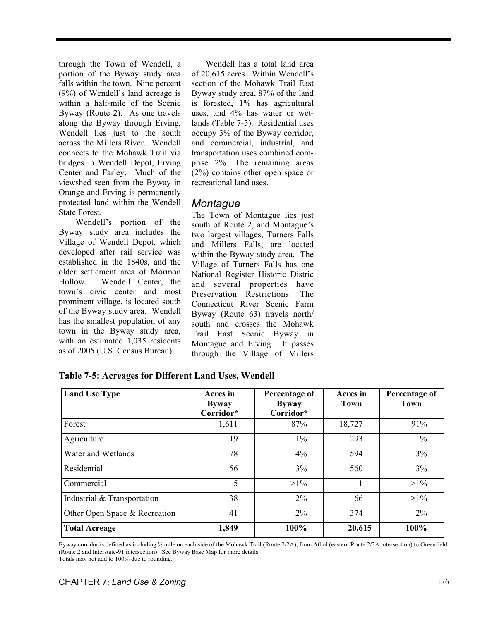through the Town of Wendell, a portion of the Byway study area falls within the town. Nine percent (9%) of Wendell's land acreage is within a half-mile of the Scenic Byway (Route 2). As one travels along the Byway through Erving, Wendell lies just to the south across the Millers River. Wendell connects to the Mohawk Trail via bridges in Wendell Depot, Erving Center and Farley. Much of the viewshed seen from the Byway in Orange and Erving is permanently protected land within the Wendell State Forest.

Wendell's portion of the Byway study area includes the Village of Wendell Depot, which developed after rail service was established in the 1840s, and the older settlement area of Mormon Hollow. Wendell Center, the town's civic center and most prominent village, is located south of the Byway study area. Wendell has the smallest population of any town in the Byway study area, with an estimated 1,035 residents as of 2005 (U.S. Census Bureau).

Wendell has a total land area of 20,615 acres. Within Wendell's section of the Mohawk Trail East Byway study area, 87% of the land is forested, 1% has agricultural uses, and 4% has water or wetlands (Table 7-5). Residential uses occupy 3% of the Byway corridor, and commercial, industrial, and transportation uses combined comprise 2%. The remaining areas (2%) contains other open space or recreational land uses.

## *Montague*

The Town of Montague lies just south of Route 2, and Montague's two largest villages, Turners Falls and Millers Falls, are located within the Byway study area. The Village of Turners Falls has one National Register Historic Distric and several properties have Preservation Restrictions. The Connecticut River Scenic Farm Byway (Route 63) travels north/ south and crosses the Mohawk Trail East Scenic Byway in Montague and Erving. It passes through the Village of Millers

| <b>Land Use Type</b>          | Acres in<br><b>Byway</b><br>Corridor* | Percentage of<br><b>Byway</b><br>Corridor* | Acres in<br><b>Town</b> | Percentage of<br><b>Town</b> |
|-------------------------------|---------------------------------------|--------------------------------------------|-------------------------|------------------------------|
| Forest                        | 1,611                                 | 87%                                        | 18,727                  | 91%                          |
| Agriculture                   | 19                                    | $1\%$                                      | 293                     | $1\%$                        |
| Water and Wetlands            | 78                                    | 4%                                         | 594                     | 3%                           |
| Residential                   | 56                                    | 3%                                         | 560                     | 3%                           |
| Commercial                    | 5                                     | $>1\%$                                     |                         | $>1\%$                       |
| Industrial & Transportation   | 38                                    | $2\%$                                      | 66                      | $>1\%$                       |
| Other Open Space & Recreation | 41                                    | $2\%$                                      | 374                     | $2\%$                        |
| <b>Total Acreage</b>          | 1,849                                 | 100%                                       | 20,615                  | 100%                         |

**Table 7-5: Acreages for Different Land Uses, Wendell** 

Byway corridor is defined as including ½ mile on each side of the Mohawk Trail (Route 2/2A), from Athol (eastern Route 2/2A intersection) to Greenfield (Route 2 and Interstate-91 intersection). See Byway Base Map for more details. Totals may not add to 100% due to rounding.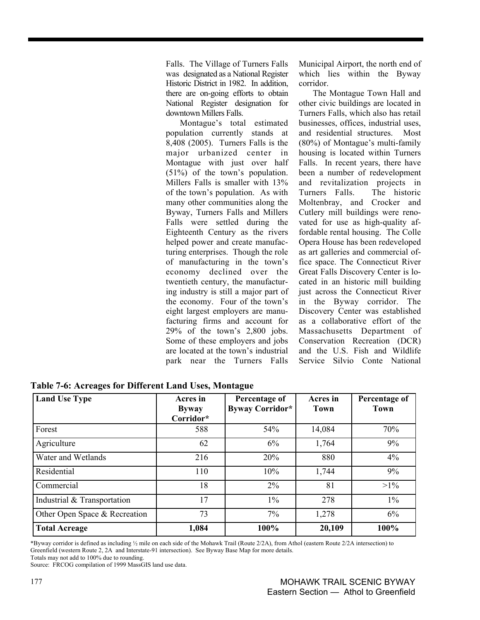Falls. The Village of Turners Falls was designated as a National Register Historic District in 1982. In addition, there are on-going efforts to obtain National Register designation for downtown Millers Falls.

Montague's total estimated population currently stands at 8,408 (2005). Turners Falls is the major urbanized center in Montague with just over half (51%) of the town's population. Millers Falls is smaller with 13% of the town's population. As with many other communities along the Byway, Turners Falls and Millers Falls were settled during the Eighteenth Century as the rivers helped power and create manufacturing enterprises. Though the role of manufacturing in the town's economy declined over the twentieth century, the manufacturing industry is still a major part of the economy. Four of the town's eight largest employers are manufacturing firms and account for 29% of the town's 2,800 jobs. Some of these employers and jobs are located at the town's industrial park near the Turners Falls Municipal Airport, the north end of which lies within the Byway corridor.

The Montague Town Hall and other civic buildings are located in Turners Falls, which also has retail businesses, offices, industrial uses, and residential structures. Most (80%) of Montague's multi-family housing is located within Turners Falls. In recent years, there have been a number of redevelopment and revitalization projects in Turners Falls. The historic Moltenbray, and Crocker and Cutlery mill buildings were renovated for use as high-quality affordable rental housing. The Colle Opera House has been redeveloped as art galleries and commercial office space. The Connecticut River Great Falls Discovery Center is located in an historic mill building just across the Connecticut River in the Byway corridor. The Discovery Center was established as a collaborative effort of the Massachusetts Department of Conservation Recreation (DCR) and the U.S. Fish and Wildlife Service Silvio Conte National

| <b>Land Use Type</b>          | Acres in<br><b>Byway</b><br>Corridor* | Percentage of<br>Byway Corridor* | Acres in<br><b>Town</b> | Percentage of<br><b>Town</b> |
|-------------------------------|---------------------------------------|----------------------------------|-------------------------|------------------------------|
| Forest                        | 588                                   | 54%                              | 14,084                  | 70%                          |
| Agriculture                   | 62                                    | 6%                               | 1,764                   | 9%                           |
| Water and Wetlands            | 216                                   | 20%                              | 880                     | 4%                           |
| Residential                   | 110                                   | 10%                              | 1,744                   | 9%                           |
| Commercial                    | 18                                    | $2\%$                            | 81                      | $>1\%$                       |
| Industrial & Transportation   | 17                                    | $1\%$                            | 278                     | $1\%$                        |
| Other Open Space & Recreation | 73                                    | $7\%$                            | 1,278                   | 6%                           |
| <b>Total Acreage</b>          | 1,084                                 | 100%                             | 20,109                  | 100%                         |

**Table 7-6: Acreages for Different Land Uses, Montague** 

\*Byway corridor is defined as including ½ mile on each side of the Mohawk Trail (Route 2/2A), from Athol (eastern Route 2/2A intersection) to Greenfield (western Route 2, 2A and Interstate-91 intersection). See Byway Base Map for more details.

Totals may not add to 100% due to rounding.

Source: FRCOG compilation of 1999 MassGIS land use data.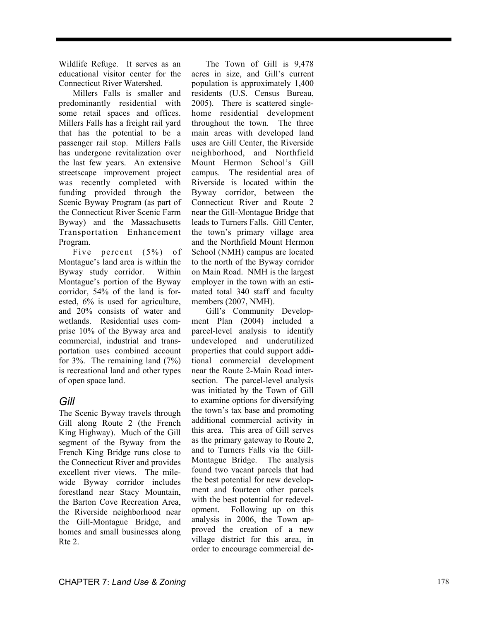Wildlife Refuge. It serves as an educational visitor center for the Connecticut River Watershed.

Millers Falls is smaller and predominantly residential with some retail spaces and offices. Millers Falls has a freight rail yard that has the potential to be a passenger rail stop. Millers Falls has undergone revitalization over the last few years. An extensive streetscape improvement project was recently completed with funding provided through the Scenic Byway Program (as part of the Connecticut River Scenic Farm Byway) and the Massachusetts Transportation Enhancement Program.

Five percent (5%) of Montague's land area is within the Byway study corridor. Within Montague's portion of the Byway corridor, 54% of the land is forested, 6% is used for agriculture, and 20% consists of water and wetlands. Residential uses comprise 10% of the Byway area and commercial, industrial and transportation uses combined account for 3%. The remaining land (7%) is recreational land and other types of open space land.

### *Gill*

The Scenic Byway travels through Gill along Route 2 (the French King Highway). Much of the Gill segment of the Byway from the French King Bridge runs close to the Connecticut River and provides excellent river views. The milewide Byway corridor includes forestland near Stacy Mountain, the Barton Cove Recreation Area, the Riverside neighborhood near the Gill-Montague Bridge, and homes and small businesses along Rte 2.

The Town of Gill is 9,478 acres in size, and Gill's current population is approximately 1,400 residents (U.S. Census Bureau, 2005). There is scattered singlehome residential development throughout the town. The three main areas with developed land uses are Gill Center, the Riverside neighborhood, and Northfield Mount Hermon School's Gill campus. The residential area of Riverside is located within the Byway corridor, between the Connecticut River and Route 2 near the Gill-Montague Bridge that leads to Turners Falls. Gill Center, the town's primary village area and the Northfield Mount Hermon School (NMH) campus are located to the north of the Byway corridor on Main Road. NMH is the largest employer in the town with an estimated total 340 staff and faculty members (2007, NMH).

Gill's Community Development Plan (2004) included a parcel-level analysis to identify undeveloped and underutilized properties that could support additional commercial development near the Route 2-Main Road intersection. The parcel-level analysis was initiated by the Town of Gill to examine options for diversifying the town's tax base and promoting additional commercial activity in this area. This area of Gill serves as the primary gateway to Route 2, and to Turners Falls via the Gill-Montague Bridge. The analysis found two vacant parcels that had the best potential for new development and fourteen other parcels with the best potential for redevelopment. Following up on this analysis in 2006, the Town approved the creation of a new village district for this area, in order to encourage commercial de-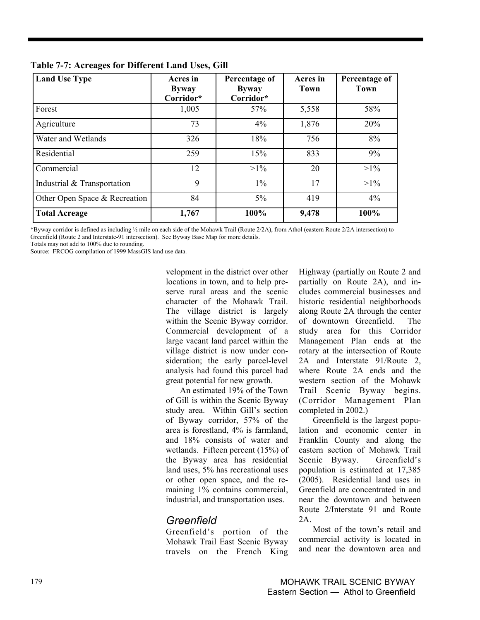| <b>Land Use Type</b>          | Acres in<br><b>Byway</b><br>Corridor* | Percentage of<br><b>Byway</b><br>Corridor* | Acres in<br><b>Town</b> | Percentage of<br>Town |
|-------------------------------|---------------------------------------|--------------------------------------------|-------------------------|-----------------------|
| Forest                        | 1,005                                 | 57%                                        | 5,558                   | 58%                   |
| Agriculture                   | 73                                    | 4%                                         | 1,876                   | 20%                   |
| Water and Wetlands            | 326                                   | 18%                                        | 756                     | 8%                    |
| Residential                   | 259                                   | 15%                                        | 833                     | 9%                    |
| Commercial                    | 12                                    | $>1\%$                                     | 20                      | $>1\%$                |
| Industrial & Transportation   | 9                                     | $1\%$                                      | 17                      | $>1\%$                |
| Other Open Space & Recreation | 84                                    | $5\%$                                      | 419                     | 4%                    |
| <b>Total Acreage</b>          | 1,767                                 | 100%                                       | 9,478                   | 100%                  |

**Table 7-7: Acreages for Different Land Uses, Gill** 

\*Byway corridor is defined as including ½ mile on each side of the Mohawk Trail (Route 2/2A), from Athol (eastern Route 2/2A intersection) to Greenfield (Route 2 and Interstate-91 intersection). See Byway Base Map for more details.

Totals may not add to 100% due to rounding.

Source: FRCOG compilation of 1999 MassGIS land use data.

velopment in the district over other locations in town, and to help preserve rural areas and the scenic character of the Mohawk Trail. The village district is largely within the Scenic Byway corridor. Commercial development of a large vacant land parcel within the village district is now under consideration; the early parcel-level analysis had found this parcel had great potential for new growth.

An estimated 19% of the Town of Gill is within the Scenic Byway study area. Within Gill's section of Byway corridor, 57% of the area is forestland, 4% is farmland, and 18% consists of water and wetlands. Fifteen percent (15%) of the Byway area has residential land uses, 5% has recreational uses or other open space, and the remaining 1% contains commercial, industrial, and transportation uses.

## *Greenfield*

Greenfield's portion of the Mohawk Trail East Scenic Byway travels on the French King Highway (partially on Route 2 and partially on Route 2A), and includes commercial businesses and historic residential neighborhoods along Route 2A through the center of downtown Greenfield. The study area for this Corridor Management Plan ends at the rotary at the intersection of Route 2A and Interstate 91/Route 2, where Route 2A ends and the western section of the Mohawk Trail Scenic Byway begins. (Corridor Management Plan completed in 2002.)

Greenfield is the largest population and economic center in Franklin County and along the eastern section of Mohawk Trail Scenic Byway. Greenfield's population is estimated at 17,385 (2005). Residential land uses in Greenfield are concentrated in and near the downtown and between Route 2/Interstate 91 and Route 2A.

Most of the town's retail and commercial activity is located in and near the downtown area and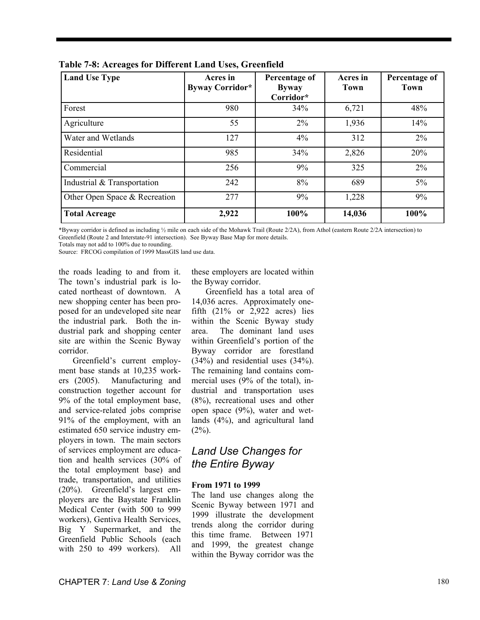| <b>Land Use Type</b>          | Acres in<br><b>Byway Corridor*</b> | Percentage of<br><b>Byway</b><br>Corridor* | Acres in<br>Town | Percentage of<br>Town |
|-------------------------------|------------------------------------|--------------------------------------------|------------------|-----------------------|
| Forest                        | 980                                | 34%                                        | 6,721            | 48%                   |
| Agriculture                   | 55                                 | $2\%$                                      | 1,936            | 14%                   |
| Water and Wetlands            | 127                                | 4%                                         | 312              | $2\%$                 |
| Residential                   | 985                                | 34%                                        | 2,826            | 20%                   |
| Commercial                    | 256                                | 9%                                         | 325              | $2\%$                 |
| Industrial & Transportation   | 242                                | 8%                                         | 689              | $5\%$                 |
| Other Open Space & Recreation | 277                                | 9%                                         | 1,228            | 9%                    |
| <b>Total Acreage</b>          | 2,922                              | 100%                                       | 14,036           | 100%                  |

**Table 7-8: Acreages for Different Land Uses, Greenfield** 

\*Byway corridor is defined as including ½ mile on each side of the Mohawk Trail (Route 2/2A), from Athol (eastern Route 2/2A intersection) to Greenfield (Route 2 and Interstate-91 intersection). See Byway Base Map for more details.

Totals may not add to 100% due to rounding.

Source: FRCOG compilation of 1999 MassGIS land use data.

the roads leading to and from it. The town's industrial park is located northeast of downtown. A new shopping center has been proposed for an undeveloped site near the industrial park. Both the industrial park and shopping center site are within the Scenic Byway corridor.

Greenfield's current employment base stands at 10,235 workers (2005). Manufacturing and construction together account for 9% of the total employment base, and service-related jobs comprise 91% of the employment, with an estimated 650 service industry employers in town. The main sectors of services employment are education and health services (30% of the total employment base) and trade, transportation, and utilities (20%). Greenfield's largest employers are the Baystate Franklin Medical Center (with 500 to 999 workers), Gentiva Health Services, Big Y Supermarket, and the Greenfield Public Schools (each with 250 to 499 workers). All

these employers are located within the Byway corridor.

Greenfield has a total area of 14,036 acres. Approximately onefifth  $(21\% \text{ or } 2,922 \text{ acres})$  lies within the Scenic Byway study area. The dominant land uses within Greenfield's portion of the Byway corridor are forestland (34%) and residential uses (34%). The remaining land contains commercial uses (9% of the total), industrial and transportation uses (8%), recreational uses and other open space (9%), water and wetlands (4%), and agricultural land  $(2\%)$ .

## *Land Use Changes for the Entire Byway*

#### **From 1971 to 1999**

The land use changes along the Scenic Byway between 1971 and 1999 illustrate the development trends along the corridor during this time frame. Between 1971 and 1999, the greatest change within the Byway corridor was the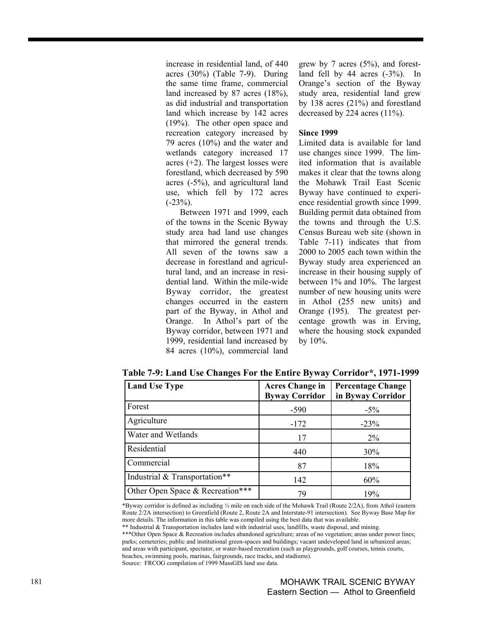increase in residential land, of 440 acres (30%) (Table 7-9). During the same time frame, commercial land increased by 87 acres (18%), as did industrial and transportation land which increase by 142 acres (19%). The other open space and recreation category increased by 79 acres (10%) and the water and wetlands category increased 17 acres  $(+2)$ . The largest losses were forestland, which decreased by 590 acres (-5%), and agricultural land use, which fell by 172 acres  $(-23\%)$ .

Between 1971 and 1999, each of the towns in the Scenic Byway study area had land use changes that mirrored the general trends. All seven of the towns saw a decrease in forestland and agricultural land, and an increase in residential land. Within the mile-wide Byway corridor, the greatest changes occurred in the eastern part of the Byway, in Athol and Orange. In Athol's part of the Byway corridor, between 1971 and 1999, residential land increased by 84 acres (10%), commercial land

grew by 7 acres (5%), and forestland fell by 44 acres  $(-3\%)$ . In Orange's section of the Byway study area, residential land grew by 138 acres (21%) and forestland decreased by 224 acres (11%).

#### **Since 1999**

Limited data is available for land use changes since 1999. The limited information that is available makes it clear that the towns along the Mohawk Trail East Scenic Byway have continued to experience residential growth since 1999. Building permit data obtained from the towns and through the U.S. Census Bureau web site (shown in Table 7-11) indicates that from 2000 to 2005 each town within the Byway study area experienced an increase in their housing supply of between 1% and 10%. The largest number of new housing units were in Athol (255 new units) and Orange (195). The greatest percentage growth was in Erving, where the housing stock expanded by 10%.

| <b>Land Use Type</b>             | <b>Acres Change in</b><br><b>Byway Corridor</b> | <b>Percentage Change</b><br>in Byway Corridor |
|----------------------------------|-------------------------------------------------|-----------------------------------------------|
| Forest                           | $-590$                                          | $-5\%$                                        |
| Agriculture                      | $-172$                                          | $-23%$                                        |
| Water and Wetlands               | 17                                              | $2\%$                                         |
| Residential                      | 440                                             | 30%                                           |
| Commercial                       | 87                                              | 18%                                           |
| Industrial & Transportation**    | 142                                             | 60%                                           |
| Other Open Space & Recreation*** | 79                                              | 19%                                           |

**Table 7-9: Land Use Changes For the Entire Byway Corridor\*, 1971-1999** 

\*Byway corridor is defined as including ½ mile on each side of the Mohawk Trail (Route 2/2A), from Athol (eastern Route 2/2A intersection) to Greenfield (Route 2, Route 2A and Interstate-91 intersection). See Byway Base Map for more details. The information in this table was compiled using the best data that was available.

<sup>\*\*</sup> Industrial & Transportation includes land with industrial uses, landfills, waste disposal, and mining. \*\*\*Other Open Space & Recreation includes abandoned agriculture; areas of no vegetation; areas under power lines; parks; cemeteries; public and institutional green-spaces and buildings; vacant undeveloped land in urbanized areas; and areas with participant, spectator, or water-based recreation (such as playgrounds, golf courses, tennis courts, beaches, swimming pools, marinas, fairgrounds, race tracks, and stadiums). Source: FRCOG compilation of 1999 MassGIS land use data.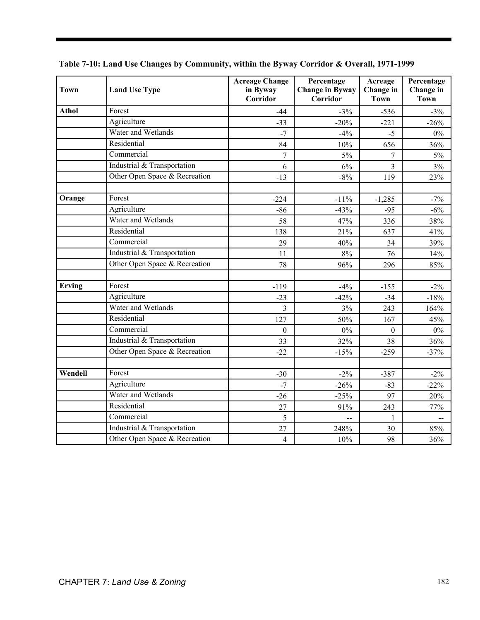| <b>Town</b>   | <b>Land Use Type</b>          | <b>Acreage Change</b><br>in Byway<br><b>Corridor</b> | Percentage<br><b>Change in Byway</b><br><b>Corridor</b> | Acreage<br>Change in<br><b>Town</b> | Percentage<br>Change in<br><b>Town</b> |
|---------------|-------------------------------|------------------------------------------------------|---------------------------------------------------------|-------------------------------------|----------------------------------------|
| <b>Athol</b>  | Forest                        | $-44$                                                | $-3\%$                                                  | $-536$                              | $-3%$                                  |
|               | Agriculture                   | $-33$                                                | $-20%$                                                  | $-221$                              | $-26%$                                 |
|               | Water and Wetlands            | $-7$                                                 | $-4%$                                                   | $-5$                                | 0%                                     |
|               | Residential                   | 84                                                   | 10%                                                     | 656                                 | 36%                                    |
|               | Commercial                    | 7                                                    | $5\%$                                                   | 7                                   | 5%                                     |
|               | Industrial & Transportation   | 6                                                    | 6%                                                      | 3                                   | 3%                                     |
|               | Other Open Space & Recreation | $-13$                                                | $-8%$                                                   | 119                                 | 23%                                    |
| Orange        | Forest                        | $-224$                                               | $-11%$                                                  | $-1,285$                            | $-7%$                                  |
|               | Agriculture                   | $-86$                                                | $-43%$                                                  | $-95$                               | $-6%$                                  |
|               | Water and Wetlands            | 58                                                   | 47%                                                     | 336                                 | 38%                                    |
|               | Residential                   | 138                                                  | 21%                                                     | 637                                 | 41%                                    |
|               | Commercial                    | 29                                                   | 40%                                                     | 34                                  | 39%                                    |
|               | Industrial & Transportation   | 11                                                   | $8\%$                                                   | 76                                  | 14%                                    |
|               | Other Open Space & Recreation | 78                                                   | 96%                                                     | 296                                 | 85%                                    |
| <b>Erving</b> | Forest                        | $-119$                                               | $-4%$                                                   | $-155$                              | $-2\%$                                 |
|               | Agriculture                   | $-23$                                                | $-42%$                                                  | $-34$                               | $-18%$                                 |
|               | Water and Wetlands            | 3                                                    | 3%                                                      | 243                                 | 164%                                   |
|               | Residential                   | 127                                                  | 50%                                                     | 167                                 | 45%                                    |
|               | Commercial                    | $\boldsymbol{0}$                                     | $0\%$                                                   | $\theta$                            | $0\%$                                  |
|               | Industrial & Transportation   | 33                                                   | 32%                                                     | 38                                  | 36%                                    |
|               | Other Open Space & Recreation | $-22$                                                | $-15%$                                                  | $-259$                              | $-37%$                                 |
| Wendell       | Forest                        | $-30$                                                | $-2\%$                                                  | $-387$                              | $-2\%$                                 |
|               | Agriculture                   | $-7$                                                 | $-26%$                                                  | $-83$                               | $-22%$                                 |
|               | Water and Wetlands            | $-26$                                                | $-25%$                                                  | 97                                  | 20%                                    |
|               | Residential                   | 27                                                   | 91%                                                     | 243                                 | 77%                                    |
|               | Commercial                    | 5                                                    |                                                         | 1                                   | $\overline{a}$                         |
|               | Industrial & Transportation   | 27                                                   | 248%                                                    | 30                                  | 85%                                    |
|               | Other Open Space & Recreation | $\overline{\mathbf{4}}$                              | 10%                                                     | 98                                  | 36%                                    |

**Table 7-10: Land Use Changes by Community, within the Byway Corridor & Overall, 1971-1999**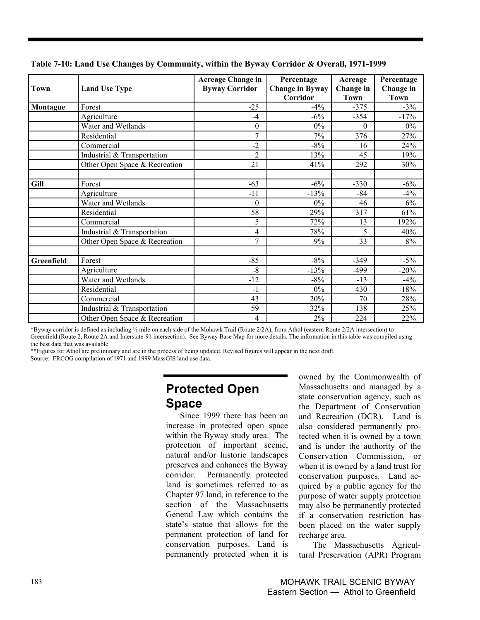|             |                               | <b>Acreage Change in</b> | Percentage                         | Acreage           | Percentage               |
|-------------|-------------------------------|--------------------------|------------------------------------|-------------------|--------------------------|
| Town        | <b>Land Use Type</b>          | <b>Byway Corridor</b>    | <b>Change in Byway</b><br>Corridor | Change in<br>Town | Change in<br><b>Town</b> |
| Montague    | Forest                        | $-25$                    | $-4\%$                             | $-375$            | $-3\%$                   |
|             | Agriculture                   | $-4$                     | $-6%$                              | $-354$            | $-17%$                   |
|             | Water and Wetlands            | $\boldsymbol{0}$         | $0\%$                              | $\theta$          | $0\%$                    |
|             | Residential                   | $\overline{7}$           | 7%                                 | 376               | 27%                      |
|             | Commercial                    | $-2$                     | $-8%$                              | 16                | 24%                      |
|             | Industrial & Transportation   | $\overline{2}$           | 13%                                | 45                | 19%                      |
|             | Other Open Space & Recreation | 21                       | 41%                                | 292               | 30%                      |
| <b>Gill</b> | Forest                        | $-63$                    | $-6\%$                             | $-330$            | $-6\%$                   |
|             | Agriculture                   | $-11$                    | $-13%$                             | $-84$             | $-4%$                    |
|             | Water and Wetlands            | $\theta$                 | $0\%$                              | 46                | 6%                       |
|             | Residential                   | 58                       | 29%                                | 317               | 61%                      |
|             | Commercial                    | 5                        | 72%                                | 13                | 192%                     |
|             | Industrial & Transportation   | 4                        | 78%                                | 5                 | 40%                      |
|             | Other Open Space & Recreation | $\overline{7}$           | 9%                                 | 33                | 8%                       |
| Greenfield  | Forest                        | $-85$                    | $-8%$                              | $-349$            | $-5\%$                   |
|             | Agriculture                   | $-8$                     | $-13%$                             | $-499$            | $-20%$                   |
|             | Water and Wetlands            | $-12$                    | $-8%$                              | $-13$             | $-4%$                    |
|             | Residential                   | $-1$                     | $0\%$                              | 430               | 18%                      |
|             | Commercial                    | 43                       | 20%                                | 70                | 28%                      |
|             | Industrial & Transportation   | 59                       | 32%                                | 138               | 25%                      |
|             | Other Open Space & Recreation | $\overline{4}$           | 2%                                 | 224               | 22%                      |

**Table 7-10: Land Use Changes by Community, within the Byway Corridor & Overall, 1971-1999** 

\*Byway corridor is defined as including ½ mile on each side of the Mohawk Trail (Route 2/2A), from Athol (eastern Route 2/2A intersection) to Greenfield (Route 2, Route 2A and Interstate-91 intersection). See Byway Base Map for more details. The information in this table was compiled using the best data that was available.

\*\*Figures for Athol are preliminary and are in the process of being updated. Revised figures will appear in the next draft. Source: FRCOG compilation of 1971 and 1999 MassGIS land use data.

## **Protected Open Space**

Since 1999 there has been an increase in protected open space within the Byway study area. The protection of important scenic, natural and/or historic landscapes preserves and enhances the Byway corridor. Permanently protected land is sometimes referred to as Chapter 97 land, in reference to the section of the Massachusetts General Law which contains the state's statue that allows for the permanent protection of land for conservation purposes. Land is permanently protected when it is owned by the Commonwealth of Massachusetts and managed by a state conservation agency, such as the Department of Conservation and Recreation (DCR). Land is also considered permanently protected when it is owned by a town and is under the authority of the Conservation Commission, or when it is owned by a land trust for conservation purposes. Land acquired by a public agency for the purpose of water supply protection may also be permanently protected if a conservation restriction has been placed on the water supply recharge area.

The Massachusetts Agricultural Preservation (APR) Program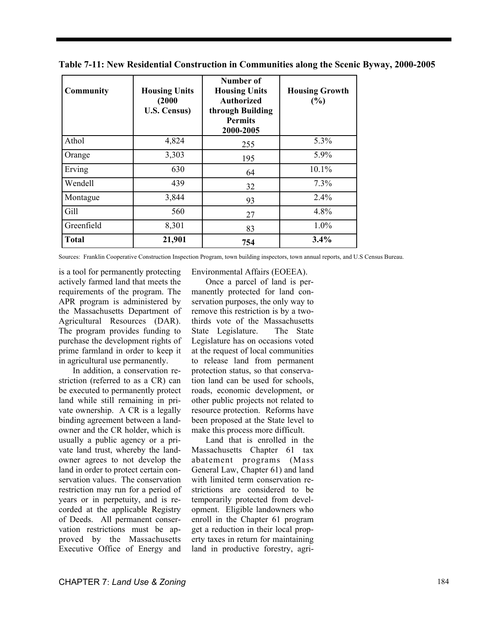| <b>Community</b> | <b>Housing Units</b><br>(2000)<br><b>U.S. Census)</b> | Number of<br><b>Housing Units</b><br><b>Authorized</b><br>through Building<br><b>Permits</b><br>2000-2005 | <b>Housing Growth</b><br>(%) |
|------------------|-------------------------------------------------------|-----------------------------------------------------------------------------------------------------------|------------------------------|
| Athol            | 4,824                                                 | 255                                                                                                       | 5.3%                         |
| Orange           | 3,303                                                 | 195                                                                                                       | 5.9%                         |
| Erving           | 630                                                   | 64                                                                                                        | 10.1%                        |
| Wendell          | 439                                                   | 32                                                                                                        | 7.3%                         |
| Montague         | 3,844                                                 | 93                                                                                                        | 2.4%                         |
| Gill             | 560                                                   | 27                                                                                                        | 4.8%                         |
| Greenfield       | 8,301                                                 | 83                                                                                                        | 1.0%                         |
| <b>Total</b>     | 21,901                                                | 754                                                                                                       | 3.4%                         |

**Table 7-11: New Residential Construction in Communities along the Scenic Byway, 2000-2005** 

Sources: Franklin Cooperative Construction Inspection Program, town building inspectors, town annual reports, and U.S Census Bureau.

is a tool for permanently protecting actively farmed land that meets the requirements of the program. The APR program is administered by the Massachusetts Department of Agricultural Resources (DAR). The program provides funding to purchase the development rights of prime farmland in order to keep it in agricultural use permanently.

In addition, a conservation restriction (referred to as a CR) can be executed to permanently protect land while still remaining in private ownership. A CR is a legally binding agreement between a landowner and the CR holder, which is usually a public agency or a private land trust, whereby the landowner agrees to not develop the land in order to protect certain conservation values. The conservation restriction may run for a period of years or in perpetuity, and is recorded at the applicable Registry of Deeds. All permanent conservation restrictions must be approved by the Massachusetts Executive Office of Energy and

Environmental Affairs (EOEEA).

Once a parcel of land is permanently protected for land conservation purposes, the only way to remove this restriction is by a twothirds vote of the Massachusetts State Legislature. The State Legislature has on occasions voted at the request of local communities to release land from permanent protection status, so that conservation land can be used for schools, roads, economic development, or other public projects not related to resource protection. Reforms have been proposed at the State level to make this process more difficult.

Land that is enrolled in the Massachusetts Chapter 61 tax abatement programs (Mass General Law, Chapter 61) and land with limited term conservation restrictions are considered to be temporarily protected from development. Eligible landowners who enroll in the Chapter 61 program get a reduction in their local property taxes in return for maintaining land in productive forestry, agri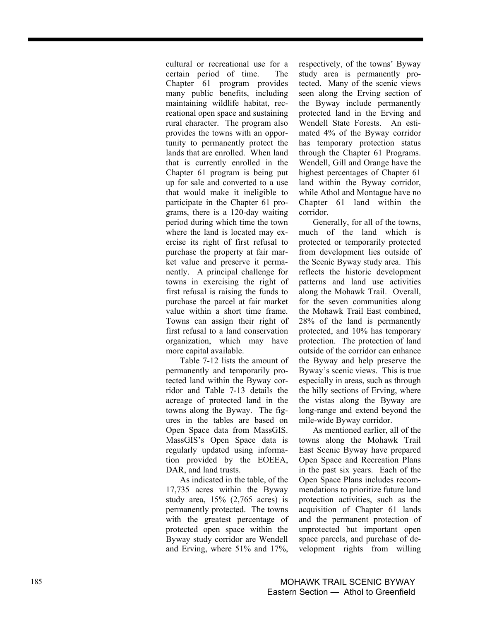cultural or recreational use for a certain period of time. The Chapter 61 program provides many public benefits, including maintaining wildlife habitat, recreational open space and sustaining rural character. The program also provides the towns with an opportunity to permanently protect the lands that are enrolled. When land that is currently enrolled in the Chapter 61 program is being put up for sale and converted to a use that would make it ineligible to participate in the Chapter 61 programs, there is a 120-day waiting period during which time the town where the land is located may exercise its right of first refusal to purchase the property at fair market value and preserve it permanently. A principal challenge for towns in exercising the right of first refusal is raising the funds to purchase the parcel at fair market value within a short time frame. Towns can assign their right of first refusal to a land conservation organization, which may have more capital available.

Table 7-12 lists the amount of permanently and temporarily protected land within the Byway corridor and Table 7-13 details the acreage of protected land in the towns along the Byway. The figures in the tables are based on Open Space data from MassGIS. MassGIS's Open Space data is regularly updated using information provided by the EOEEA, DAR, and land trusts.

As indicated in the table, of the 17,735 acres within the Byway study area, 15% (2,765 acres) is permanently protected. The towns with the greatest percentage of protected open space within the Byway study corridor are Wendell and Erving, where 51% and 17%, respectively, of the towns' Byway study area is permanently protected. Many of the scenic views seen along the Erving section of the Byway include permanently protected land in the Erving and Wendell State Forests. An estimated 4% of the Byway corridor has temporary protection status through the Chapter 61 Programs. Wendell, Gill and Orange have the highest percentages of Chapter 61 land within the Byway corridor, while Athol and Montague have no Chapter 61 land within the corridor.

Generally, for all of the towns, much of the land which is protected or temporarily protected from development lies outside of the Scenic Byway study area. This reflects the historic development patterns and land use activities along the Mohawk Trail. Overall, for the seven communities along the Mohawk Trail East combined, 28% of the land is permanently protected, and 10% has temporary protection. The protection of land outside of the corridor can enhance the Byway and help preserve the Byway's scenic views. This is true especially in areas, such as through the hilly sections of Erving, where the vistas along the Byway are long-range and extend beyond the mile-wide Byway corridor.

As mentioned earlier, all of the towns along the Mohawk Trail East Scenic Byway have prepared Open Space and Recreation Plans in the past six years. Each of the Open Space Plans includes recommendations to prioritize future land protection activities, such as the acquisition of Chapter 61 lands and the permanent protection of unprotected but important open space parcels, and purchase of development rights from willing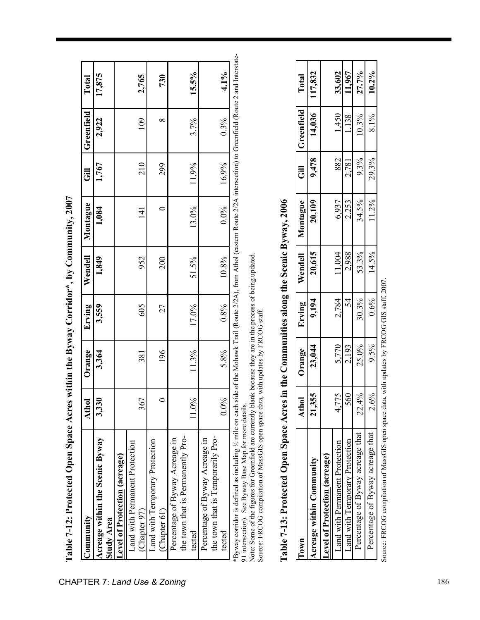| $\mathop{{\rm commut}}\nolimits_{\mathop{\rm V}}$ | Athol   | Orange | Erving | Wendell | Montague      |       | Greenfield | Total  |
|---------------------------------------------------|---------|--------|--------|---------|---------------|-------|------------|--------|
| Acreage within the Scenic Byway                   | 3,330   | 3,364  | 3,559  | 1,849   | 1,084         | 1,767 | 2,922      | 17,875 |
| <b>Study Area</b>                                 |         |        |        |         |               |       |            |        |
| evel of Protection (acreage)                      |         |        |        |         |               |       |            |        |
| Land with Permanent Protection                    |         |        |        |         |               |       |            |        |
| (Chapter 97)                                      | 67      | 381    | 605    | 952     | $\frac{1}{4}$ | 210   | 109        | 2,765  |
| Land with Temporary Protection                    |         |        |        |         |               |       |            |        |
| (Chapter 61)                                      |         | 196    | 27     | 200     |               | 299   | $\infty$   | 730    |
| Percentage of Byway Acreage in                    |         |        |        |         |               |       |            |        |
| the town that is Permanently Pro-                 |         |        |        |         |               |       |            |        |
| tected                                            | 11.0%   | 11.3%  | 17.0%  | 51.5%   | 13.0%         | 11.9% | 3.7%       | 15.5%  |
| Percentage of Byway Acreage in                    |         |        |        |         |               |       |            |        |
| the town that is Temporarily Pro-                 |         |        |        |         |               |       |            |        |
| tected                                            | $0.0\%$ | 5.8%   | 0.8%   | 10.8%   | $0.0\%$       | 16.9% | 0.3%       | 4.1%   |

**Table 7-12: Protected Open Space Acres within the Byway Corridor\*, by Community, 2007**  Table 7-12: Protected Open Space Acres within the Byway Corridor\*, by Community, 2007

91 intersection). See Byway Base Map for more details.

Note: Some of the figures for Greenfield are currently blank because they are in the process of being updated. 91 intersection). See Byway Base Map for more details.<br>Note: Some of the figures for Greenfield are currently blank because they are in the process of being updated.<br>Source: FRCOG compilation of MassGIS open space data, wi Source: FRCOG compilation of MassGIS open space data, with updates by FRCOG staff.

| <b>UMD</b>                           | Athol | Orange | Erving | Wendell | Montague | 。<br>1 | Greenfield | Total    |
|--------------------------------------|-------|--------|--------|---------|----------|--------|------------|----------|
| Acreage within Community             | 1,355 | 23,044 | 9,194  | 20,615  | 20,109   | 9,478  | 14,036     | 117,832  |
| <b>Level of Protection (acreage)</b> |       |        |        |         |          |        |            |          |
| Land with Permanent Protection       | 4,775 | 5,770  | 2,784  | 11,004  | 6,937    | 882    | 1,450      | 33,602   |
| Land with Temporary Protection       | 560   | 2,193  | 54     | 2,988   | 2,253    | 2,781  | 1,138      | 11,967   |
| Percentage of Byway acreage that     | 22.4% | 25.0%  | 30.3%  | 53.3%   | 34.5%    | 9.3%   | 10.3%      | 27.7%    |
| Percentage of Byway acreage that     | 2.6%  | 9.5%   | 0.6%   | 14.5%   | $11.2\%$ | 29.3%  | 8.1%       | $10.2\%$ |
|                                      |       |        |        |         |          |        |            |          |

**Table 7-13: Protected Open Space Acres in the Communities along the Scenic Byway, 2006**  Table 7-13: Protected Open Space Acres in the Communities along the Scenic Byway, 2006

Source: FRCOG compilation of MassGIS open space data, with updates by FRCOG GIS staff, 2007. Source: FRCOG compilation of MassGIS open space data, with updates by FRCOG GIS staff, 2007.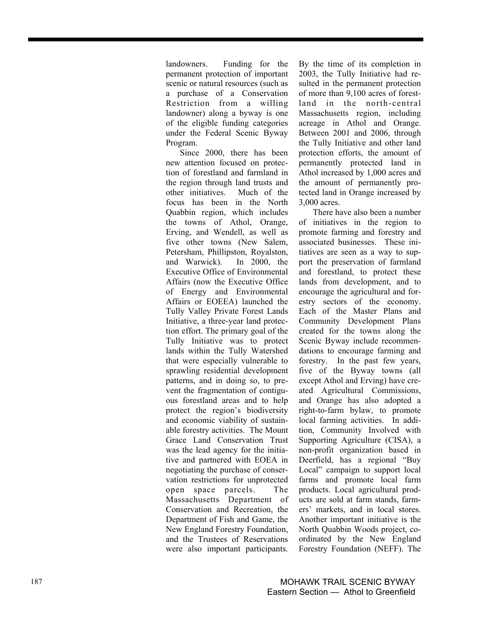landowners. Funding for the permanent protection of important scenic or natural resources (such as a purchase of a Conservation Restriction from a willing landowner) along a byway is one of the eligible funding categories under the Federal Scenic Byway Program.

Since 2000, there has been new attention focused on protection of forestland and farmland in the region through land trusts and other initiatives. Much of the focus has been in the North Quabbin region, which includes the towns of Athol, Orange, Erving, and Wendell, as well as five other towns (New Salem, Petersham, Phillipston, Royalston, and Warwick). In 2000, the Executive Office of Environmental Affairs (now the Executive Office of Energy and Environmental Affairs or EOEEA) launched the Tully Valley Private Forest Lands Initiative, a three-year land protection effort. The primary goal of the Tully Initiative was to protect lands within the Tully Watershed that were especially vulnerable to sprawling residential development patterns, and in doing so, to prevent the fragmentation of contiguous forestland areas and to help protect the region's biodiversity and economic viability of sustainable forestry activities. The Mount Grace Land Conservation Trust was the lead agency for the initiative and partnered with EOEA in negotiating the purchase of conservation restrictions for unprotected open space parcels. The Massachusetts Department of Conservation and Recreation, the Department of Fish and Game, the New England Forestry Foundation, and the Trustees of Reservations were also important participants.

By the time of its completion in 2003, the Tully Initiative had resulted in the permanent protection of more than 9,100 acres of forestland in the north-central Massachusetts region, including acreage in Athol and Orange. Between 2001 and 2006, through the Tully Initiative and other land protection efforts, the amount of permanently protected land in Athol increased by 1,000 acres and the amount of permanently protected land in Orange increased by 3,000 acres.

There have also been a number of initiatives in the region to promote farming and forestry and associated businesses. These initiatives are seen as a way to support the preservation of farmland and forestland, to protect these lands from development, and to encourage the agricultural and forestry sectors of the economy. Each of the Master Plans and Community Development Plans created for the towns along the Scenic Byway include recommendations to encourage farming and forestry. In the past few years, five of the Byway towns (all except Athol and Erving) have created Agricultural Commissions, and Orange has also adopted a right-to-farm bylaw, to promote local farming activities. In addition, Community Involved with Supporting Agriculture (CISA), a non-profit organization based in Deerfield, has a regional "Buy Local" campaign to support local farms and promote local farm products. Local agricultural products are sold at farm stands, farmers' markets, and in local stores. Another important initiative is the North Quabbin Woods project, coordinated by the New England Forestry Foundation (NEFF). The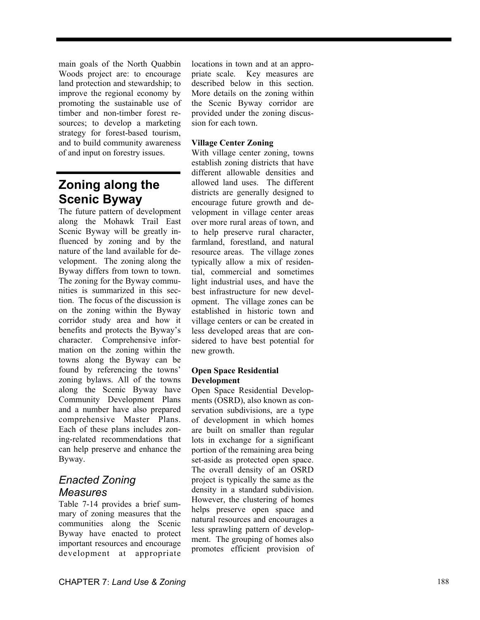main goals of the North Quabbin Woods project are: to encourage land protection and stewardship; to improve the regional economy by promoting the sustainable use of timber and non-timber forest resources; to develop a marketing strategy for forest-based tourism, and to build community awareness of and input on forestry issues.

## **Zoning along the Scenic Byway**

The future pattern of development along the Mohawk Trail East Scenic Byway will be greatly influenced by zoning and by the nature of the land available for development. The zoning along the Byway differs from town to town. The zoning for the Byway communities is summarized in this section. The focus of the discussion is on the zoning within the Byway corridor study area and how it benefits and protects the Byway's character. Comprehensive information on the zoning within the towns along the Byway can be found by referencing the towns' zoning bylaws. All of the towns along the Scenic Byway have Community Development Plans and a number have also prepared comprehensive Master Plans. Each of these plans includes zoning-related recommendations that can help preserve and enhance the Byway.

## *Enacted Zoning Measures*

Table 7-14 provides a brief summary of zoning measures that the communities along the Scenic Byway have enacted to protect important resources and encourage development at appropriate

locations in town and at an appropriate scale. Key measures are described below in this section. More details on the zoning within the Scenic Byway corridor are provided under the zoning discussion for each town.

#### **Village Center Zoning**

With village center zoning, towns establish zoning districts that have different allowable densities and allowed land uses. The different districts are generally designed to encourage future growth and development in village center areas over more rural areas of town, and to help preserve rural character, farmland, forestland, and natural resource areas. The village zones typically allow a mix of residential, commercial and sometimes light industrial uses, and have the best infrastructure for new development. The village zones can be established in historic town and village centers or can be created in less developed areas that are considered to have best potential for new growth.

#### **Open Space Residential Development**

Open Space Residential Developments (OSRD), also known as conservation subdivisions, are a type of development in which homes are built on smaller than regular lots in exchange for a significant portion of the remaining area being set-aside as protected open space. The overall density of an OSRD project is typically the same as the density in a standard subdivision. However, the clustering of homes helps preserve open space and natural resources and encourages a less sprawling pattern of development. The grouping of homes also promotes efficient provision of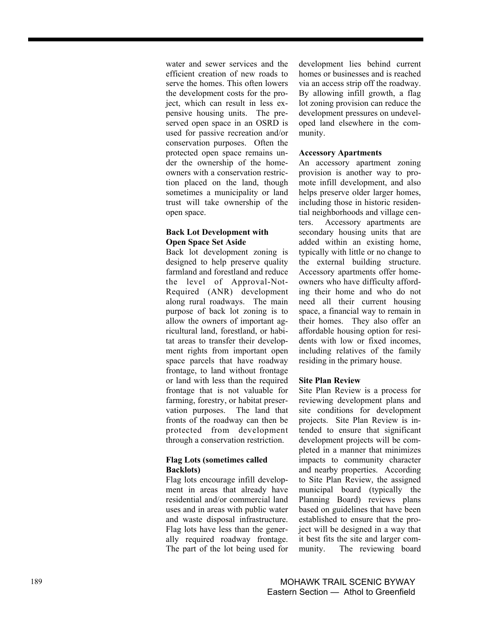water and sewer services and the efficient creation of new roads to serve the homes. This often lowers the development costs for the project, which can result in less expensive housing units. The preserved open space in an OSRD is used for passive recreation and/or conservation purposes. Often the protected open space remains under the ownership of the homeowners with a conservation restriction placed on the land, though sometimes a municipality or land trust will take ownership of the open space.

#### **Back Lot Development with Open Space Set Aside**

Back lot development zoning is designed to help preserve quality farmland and forestland and reduce the level of Approval-Not-Required (ANR) development along rural roadways. The main purpose of back lot zoning is to allow the owners of important agricultural land, forestland, or habitat areas to transfer their development rights from important open space parcels that have roadway frontage, to land without frontage or land with less than the required frontage that is not valuable for farming, forestry, or habitat preservation purposes. The land that fronts of the roadway can then be protected from development through a conservation restriction.

#### **Flag Lots (sometimes called Backlots)**

Flag lots encourage infill development in areas that already have residential and/or commercial land uses and in areas with public water and waste disposal infrastructure. Flag lots have less than the generally required roadway frontage. The part of the lot being used for development lies behind current homes or businesses and is reached via an access strip off the roadway. By allowing infill growth, a flag lot zoning provision can reduce the development pressures on undeveloped land elsewhere in the community.

#### **Accessory Apartments**

An accessory apartment zoning provision is another way to promote infill development, and also helps preserve older larger homes, including those in historic residential neighborhoods and village centers. Accessory apartments are secondary housing units that are added within an existing home, typically with little or no change to the external building structure. Accessory apartments offer homeowners who have difficulty affording their home and who do not need all their current housing space, a financial way to remain in their homes. They also offer an affordable housing option for residents with low or fixed incomes, including relatives of the family residing in the primary house.

#### **Site Plan Review**

Site Plan Review is a process for reviewing development plans and site conditions for development projects. Site Plan Review is intended to ensure that significant development projects will be completed in a manner that minimizes impacts to community character and nearby properties. According to Site Plan Review, the assigned municipal board (typically the Planning Board) reviews plans based on guidelines that have been established to ensure that the project will be designed in a way that it best fits the site and larger community. The reviewing board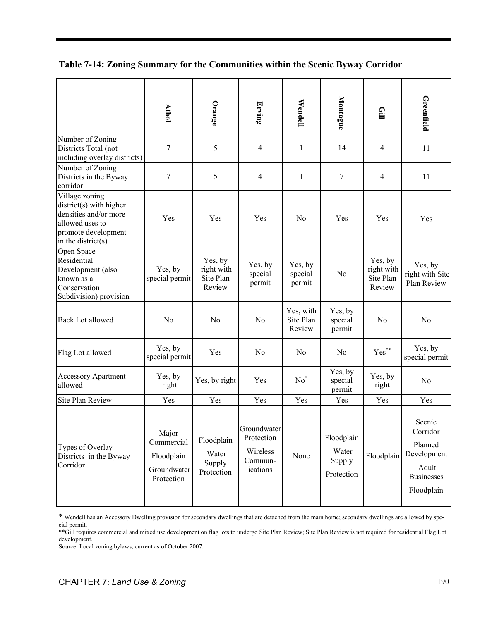**Table 7-14: Zoning Summary for the Communities within the Scenic Byway Corridor** 

|                                                                                                                                                                                                                                                                                                                                                                                                              | <b>Athol</b>                                                   | Orange                                       | Erving                                                       | Wendell                          | Montague                                    | $\mathbf{E}$                                 | Greenfield                                                                               |
|--------------------------------------------------------------------------------------------------------------------------------------------------------------------------------------------------------------------------------------------------------------------------------------------------------------------------------------------------------------------------------------------------------------|----------------------------------------------------------------|----------------------------------------------|--------------------------------------------------------------|----------------------------------|---------------------------------------------|----------------------------------------------|------------------------------------------------------------------------------------------|
| Number of Zoning<br>Districts Total (not<br>including overlay districts)                                                                                                                                                                                                                                                                                                                                     | $\boldsymbol{7}$                                               | 5                                            | $\overline{4}$                                               | 1                                | 14                                          | 4                                            | 11                                                                                       |
| Number of Zoning<br>Districts in the Byway<br>corridor                                                                                                                                                                                                                                                                                                                                                       | $\tau$                                                         | 5                                            | 4                                                            | $\mathbf{1}$                     | 7                                           | 4                                            | 11                                                                                       |
| Village zoning<br>$district(s)$ with higher<br>densities and/or more<br>allowed uses to<br>promote development<br>in the district( $s$ )                                                                                                                                                                                                                                                                     | Yes                                                            | Yes                                          | Yes                                                          | N <sub>0</sub>                   | Yes                                         | Yes                                          | Yes                                                                                      |
| Open Space<br>Residential<br>Development (also<br>known as a<br>Conservation<br>Subdivision) provision                                                                                                                                                                                                                                                                                                       | Yes, by<br>special permit                                      | Yes, by<br>right with<br>Site Plan<br>Review | Yes, by<br>special<br>permit                                 | Yes, by<br>special<br>permit     | N <sub>0</sub>                              | Yes, by<br>right with<br>Site Plan<br>Review | Yes, by<br>right with Site<br>Plan Review                                                |
| <b>Back Lot allowed</b>                                                                                                                                                                                                                                                                                                                                                                                      | N <sub>0</sub>                                                 | No                                           | No                                                           | Yes, with<br>Site Plan<br>Review | Yes, by<br>special<br>permit                | N <sub>0</sub>                               | N <sub>o</sub>                                                                           |
| Flag Lot allowed                                                                                                                                                                                                                                                                                                                                                                                             | Yes, by<br>special permit                                      | Yes                                          | No                                                           | N <sub>0</sub>                   | N <sub>0</sub>                              | $\mathrm{Yes}^{**}$                          | Yes, by<br>special permit                                                                |
| <b>Accessory Apartment</b><br>allowed                                                                                                                                                                                                                                                                                                                                                                        | Yes, by<br>right                                               | Yes, by right                                | Yes                                                          | $No^*$                           | Yes, by<br>special<br>permit                | Yes, by<br>right                             | N <sub>0</sub>                                                                           |
| <b>Site Plan Review</b>                                                                                                                                                                                                                                                                                                                                                                                      | Yes                                                            | Yes                                          | Yes                                                          | Yes                              | Yes                                         | Yes                                          | Yes                                                                                      |
| Types of Overlay<br>Districts in the Byway<br>Corridor                                                                                                                                                                                                                                                                                                                                                       | Major<br>Commercial<br>Floodplain<br>Groundwater<br>Protection | Floodplain<br>Water<br>Supply<br>Protection  | Groundwater<br>Protection<br>Wireless<br>Commun-<br>ications | None                             | Floodplain<br>Water<br>Supply<br>Protection | Floodplain                                   | Scenic<br>Corridor<br>Planned<br>Development<br>Adult<br><b>Businesses</b><br>Floodplain |
| * Wendell has an Accessory Dwelling provision for secondary dwellings that are detached from the main home; secondary dwellings are allowed by spe-<br>cial permit.<br>** Gill requires commercial and mixed use development on flag lots to undergo Site Plan Review; Site Plan Review is not required for residential Flag Lot<br>development.<br>Source: Local zoning bylaws, current as of October 2007. |                                                                |                                              |                                                              |                                  |                                             |                                              |                                                                                          |

<sup>\*</sup> Wendell has an Accessory Dwelling provision for secondary dwellings that are detached from the main home; secondary dwellings are allowed by special permit.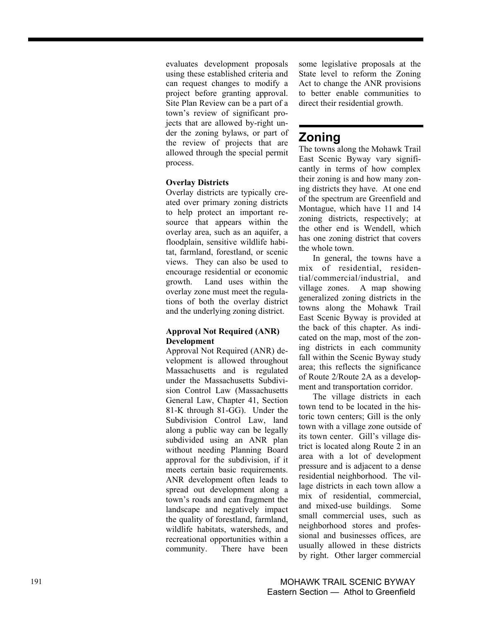evaluates development proposals using these established criteria and can request changes to modify a project before granting approval. Site Plan Review can be a part of a town's review of significant projects that are allowed by-right under the zoning bylaws, or part of the review of projects that are allowed through the special permit process.

#### **Overlay Districts**

Overlay districts are typically created over primary zoning districts to help protect an important resource that appears within the overlay area, such as an aquifer, a floodplain, sensitive wildlife habitat, farmland, forestland, or scenic views. They can also be used to encourage residential or economic growth. Land uses within the overlay zone must meet the regulations of both the overlay district and the underlying zoning district.

#### **Approval Not Required (ANR) Development**

Approval Not Required (ANR) development is allowed throughout Massachusetts and is regulated under the Massachusetts Subdivision Control Law (Massachusetts General Law, Chapter 41, Section 81-K through 81-GG). Under the Subdivision Control Law, land along a public way can be legally subdivided using an ANR plan without needing Planning Board approval for the subdivision, if it meets certain basic requirements. ANR development often leads to spread out development along a town's roads and can fragment the landscape and negatively impact the quality of forestland, farmland, wildlife habitats, watersheds, and recreational opportunities within a community. There have been some legislative proposals at the State level to reform the Zoning Act to change the ANR provisions to better enable communities to direct their residential growth.

## **Zoning**

The towns along the Mohawk Trail East Scenic Byway vary significantly in terms of how complex their zoning is and how many zoning districts they have. At one end of the spectrum are Greenfield and Montague, which have 11 and 14 zoning districts, respectively; at the other end is Wendell, which has one zoning district that covers the whole town.

In general, the towns have a mix of residential, residential/commercial/industrial, and village zones. A map showing generalized zoning districts in the towns along the Mohawk Trail East Scenic Byway is provided at the back of this chapter. As indicated on the map, most of the zoning districts in each community fall within the Scenic Byway study area; this reflects the significance of Route 2/Route 2A as a development and transportation corridor.

The village districts in each town tend to be located in the historic town centers; Gill is the only town with a village zone outside of its town center. Gill's village district is located along Route 2 in an area with a lot of development pressure and is adjacent to a dense residential neighborhood. The village districts in each town allow a mix of residential, commercial, and mixed-use buildings. Some small commercial uses, such as neighborhood stores and professional and businesses offices, are usually allowed in these districts by right. Other larger commercial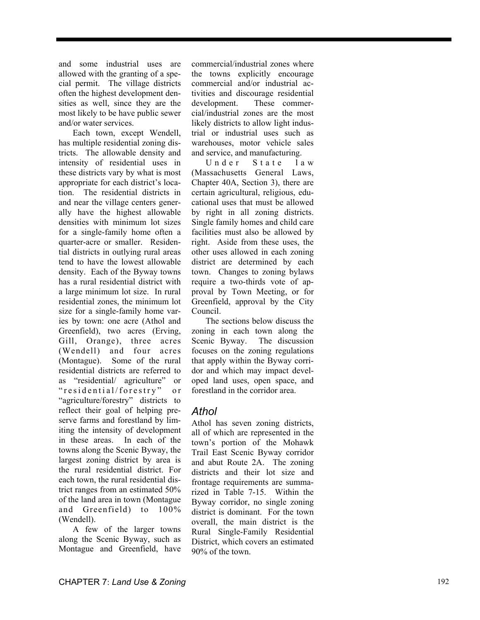and some industrial uses are allowed with the granting of a special permit. The village districts often the highest development densities as well, since they are the most likely to be have public sewer and/or water services.

Each town, except Wendell, has multiple residential zoning districts. The allowable density and intensity of residential uses in these districts vary by what is most appropriate for each district's location. The residential districts in and near the village centers generally have the highest allowable densities with minimum lot sizes for a single-family home often a quarter-acre or smaller. Residential districts in outlying rural areas tend to have the lowest allowable density. Each of the Byway towns has a rural residential district with a large minimum lot size. In rural residential zones, the minimum lot size for a single-family home varies by town: one acre (Athol and Greenfield), two acres (Erving, Gill, Orange), three acres (Wendell) and four acres (Montague). Some of the rural residential districts are referred to as "residential/ agriculture" or " residential/forestry" or "agriculture/forestry" districts to reflect their goal of helping preserve farms and forestland by limiting the intensity of development in these areas. In each of the towns along the Scenic Byway, the largest zoning district by area is the rural residential district. For each town, the rural residential district ranges from an estimated 50% of the land area in town (Montague and Greenfield) to 100% (Wendell).

A few of the larger towns along the Scenic Byway, such as Montague and Greenfield, have commercial/industrial zones where the towns explicitly encourage commercial and/or industrial activities and discourage residential development. These commercial/industrial zones are the most likely districts to allow light industrial or industrial uses such as warehouses, motor vehicle sales and service, and manufacturing.

Under State law (Massachusetts General Laws, Chapter 40A, Section 3), there are certain agricultural, religious, educational uses that must be allowed by right in all zoning districts. Single family homes and child care facilities must also be allowed by right. Aside from these uses, the other uses allowed in each zoning district are determined by each town. Changes to zoning bylaws require a two-thirds vote of approval by Town Meeting, or for Greenfield, approval by the City Council.

The sections below discuss the zoning in each town along the Scenic Byway. The discussion focuses on the zoning regulations that apply within the Byway corridor and which may impact developed land uses, open space, and forestland in the corridor area.

### *Athol*

Athol has seven zoning districts, all of which are represented in the town's portion of the Mohawk Trail East Scenic Byway corridor and abut Route 2A. The zoning districts and their lot size and frontage requirements are summarized in Table 7-15. Within the Byway corridor, no single zoning district is dominant. For the town overall, the main district is the Rural Single-Family Residential District, which covers an estimated 90% of the town.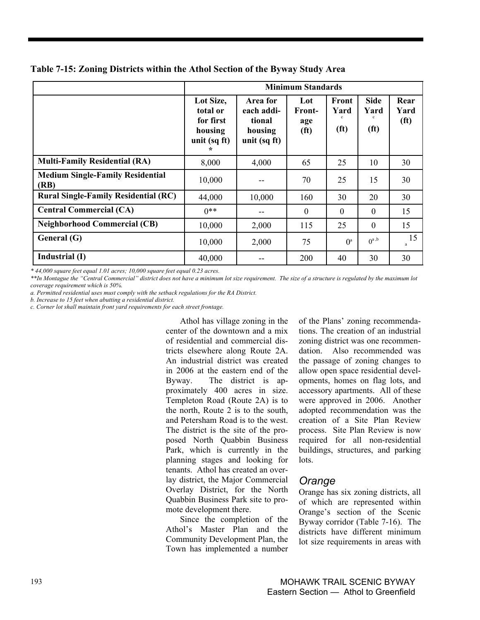|                                                 |                                                               |                                                                      | <b>Minimum Standards</b>                         |                                    |                                          |                                   |
|-------------------------------------------------|---------------------------------------------------------------|----------------------------------------------------------------------|--------------------------------------------------|------------------------------------|------------------------------------------|-----------------------------------|
|                                                 | Lot Size,<br>total or<br>for first<br>housing<br>unit (sq ft) | Area for<br>each addi-<br>tional<br>housing<br>unit $(sq\text{ ft})$ | Lot<br><b>Front-</b><br>age<br>(f <sup>t</sup> ) | Front<br>Yard<br>(f <sup>t</sup> ) | <b>Side</b><br>Yard<br>(f <sup>t</sup> ) | Rear<br>Yard<br>(f <sup>t</sup> ) |
| <b>Multi-Family Residential (RA)</b>            | 8,000                                                         | 4,000                                                                | 65                                               | 25                                 | 10                                       | 30                                |
| <b>Medium Single-Family Residential</b><br>(RB) | 10,000                                                        |                                                                      | 70                                               | 25                                 | 15                                       | 30                                |
| <b>Rural Single-Family Residential (RC)</b>     | 44,000                                                        | 10,000                                                               | 160                                              | 30                                 | 20                                       | 30                                |
| <b>Central Commercial (CA)</b>                  | $0**$                                                         | --                                                                   | $\theta$                                         | $\overline{0}$                     | $\mathbf{0}$                             | 15                                |
| <b>Neighborhood Commercial (CB)</b>             | 10,000                                                        | 2,000                                                                | 115                                              | 25                                 | $\mathbf{0}$                             | 15                                |
| General (G)                                     | 10,000                                                        | 2,000                                                                | 75                                               | $\mathbf{O}^{\text{a}}$            | $0^{a, b}$                               | 15<br>a                           |
| Industrial (I)                                  | 40,000                                                        |                                                                      | 200                                              | 40                                 | 30                                       | 30                                |

**Table 7-15: Zoning Districts within the Athol Section of the Byway Study Area** 

*\* 44,000 square feet equal 1.01 acres; 10,000 square feet equal 0.23 acres.* 

*\*\*In Montague the "Central Commercial" district does not have a minimum lot size requirement. The size of a structure is regulated by the maximum lot coverage requirement which is 50%.* 

*a. Permitted residential uses must comply with the setback regulations for the RA District.* 

*b. Increase to 15 feet when abutting a residential district.* 

*c. Corner lot shall maintain front yard requirements for each street frontage.* 

Athol has village zoning in the center of the downtown and a mix of residential and commercial districts elsewhere along Route 2A. An industrial district was created in 2006 at the eastern end of the Byway. The district is approximately 400 acres in size. Templeton Road (Route 2A) is to the north, Route 2 is to the south, and Petersham Road is to the west. The district is the site of the proposed North Quabbin Business Park, which is currently in the planning stages and looking for tenants. Athol has created an overlay district, the Major Commercial Overlay District, for the North Quabbin Business Park site to promote development there.

Since the completion of the Athol's Master Plan and the Community Development Plan, the Town has implemented a number

of the Plans' zoning recommendations. The creation of an industrial zoning district was one recommendation. Also recommended was the passage of zoning changes to allow open space residential developments, homes on flag lots, and accessory apartments. All of these were approved in 2006. Another adopted recommendation was the creation of a Site Plan Review process. Site Plan Review is now required for all non-residential buildings, structures, and parking lots.

### *Orange*

Orange has six zoning districts, all of which are represented within Orange's section of the Scenic Byway corridor (Table 7-16). The districts have different minimum lot size requirements in areas with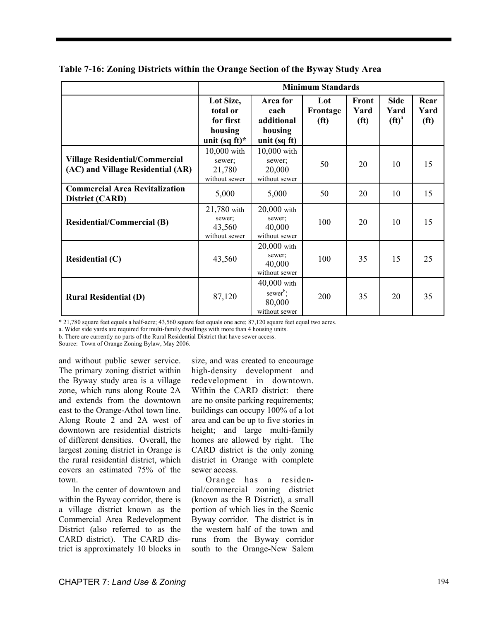|                                                                            |                                                                   |                                                                  | <b>Minimum Standards</b>             |                                    |                                  |                                   |
|----------------------------------------------------------------------------|-------------------------------------------------------------------|------------------------------------------------------------------|--------------------------------------|------------------------------------|----------------------------------|-----------------------------------|
|                                                                            | Lot Size,<br>total or<br>for first<br>housing<br>unit (sq ft) $*$ | Area for<br>each<br>additional<br>housing<br>unit (sq ft)        | Lot<br>Frontage<br>(f <sup>t</sup> ) | Front<br>Yard<br>(f <sup>t</sup> ) | <b>Side</b><br>Yard<br>$(f t)^a$ | Rear<br>Yard<br>(f <sup>t</sup> ) |
| <b>Village Residential/Commercial</b><br>(AC) and Village Residential (AR) | $10,000$ with<br>sewer:<br>21,780<br>without sewer                | 10,000 with<br>sewer:<br>20,000<br>without sewer                 | 50                                   | 20                                 | 10                               | 15                                |
| <b>Commercial Area Revitalization</b><br>District (CARD)                   | 5,000                                                             | 5,000                                                            | 50                                   | 20                                 | 10                               | 15                                |
| <b>Residential/Commercial (B)</b>                                          | 21,780 with<br>sewer;<br>43,560<br>without sewer                  | 20,000 with<br>sewer;<br>40,000<br>without sewer                 | 100                                  | 20                                 | 10                               | 15                                |
| Residential $(C)$                                                          | 43,560                                                            | $20,000$ with<br>sewer;<br>40,000<br>without sewer               | 100                                  | 35                                 | 15                               | 25                                |
| <b>Rural Residential (D)</b>                                               | 87,120                                                            | $40,000$ with<br>sewer <sup>b</sup> ;<br>80,000<br>without sewer | 200                                  | 35                                 | 20                               | 35                                |

**Table 7-16: Zoning Districts within the Orange Section of the Byway Study Area** 

\* 21,780 square feet equals a half-acre; 43,560 square feet equals one acre; 87,120 square feet equal two acres.

a. Wider side yards are required for multi-family dwellings with more than 4 housing units.

b. There are currently no parts of the Rural Residential District that have sewer access.

Source: Town of Orange Zoning Bylaw, May 2006.

and without public sewer service. The primary zoning district within the Byway study area is a village zone, which runs along Route 2A and extends from the downtown east to the Orange-Athol town line. Along Route 2 and 2A west of downtown are residential districts of different densities. Overall, the largest zoning district in Orange is the rural residential district, which covers an estimated 75% of the town.

In the center of downtown and within the Byway corridor, there is a village district known as the Commercial Area Redevelopment District (also referred to as the CARD district). The CARD district is approximately 10 blocks in

size, and was created to encourage high-density development and redevelopment in downtown. Within the CARD district: there are no onsite parking requirements; buildings can occupy 100% of a lot area and can be up to five stories in height; and large multi-family homes are allowed by right. The CARD district is the only zoning district in Orange with complete sewer access.

Orange has a residential/commercial zoning district (known as the B District), a small portion of which lies in the Scenic Byway corridor. The district is in the western half of the town and runs from the Byway corridor south to the Orange-New Salem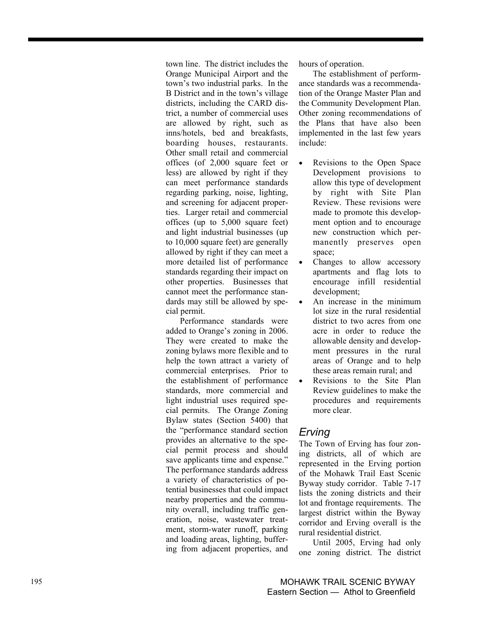town line. The district includes the Orange Municipal Airport and the town's two industrial parks. In the B District and in the town's village districts, including the CARD district, a number of commercial uses are allowed by right, such as inns/hotels, bed and breakfasts, boarding houses, restaurants. Other small retail and commercial offices (of 2,000 square feet or less) are allowed by right if they can meet performance standards regarding parking, noise, lighting, and screening for adjacent properties. Larger retail and commercial offices (up to 5,000 square feet) and light industrial businesses (up to 10,000 square feet) are generally allowed by right if they can meet a more detailed list of performance standards regarding their impact on other properties. Businesses that cannot meet the performance standards may still be allowed by special permit.

Performance standards were added to Orange's zoning in 2006. They were created to make the zoning bylaws more flexible and to help the town attract a variety of commercial enterprises. Prior to the establishment of performance standards, more commercial and light industrial uses required special permits. The Orange Zoning Bylaw states (Section 5400) that the "performance standard section provides an alternative to the special permit process and should save applicants time and expense." The performance standards address a variety of characteristics of potential businesses that could impact nearby properties and the community overall, including traffic generation, noise, wastewater treatment, storm-water runoff, parking and loading areas, lighting, buffering from adjacent properties, and hours of operation.

The establishment of performance standards was a recommendation of the Orange Master Plan and the Community Development Plan. Other zoning recommendations of the Plans that have also been implemented in the last few years include:

- Revisions to the Open Space Development provisions to allow this type of development by right with Site Plan Review. These revisions were made to promote this development option and to encourage new construction which permanently preserves open space;
- Changes to allow accessory apartments and flag lots to encourage infill residential development;
- An increase in the minimum lot size in the rural residential district to two acres from one acre in order to reduce the allowable density and development pressures in the rural areas of Orange and to help these areas remain rural; and
- Revisions to the Site Plan Review guidelines to make the procedures and requirements more clear.

## *Erving*

The Town of Erving has four zoning districts, all of which are represented in the Erving portion of the Mohawk Trail East Scenic Byway study corridor. Table 7-17 lists the zoning districts and their lot and frontage requirements. The largest district within the Byway corridor and Erving overall is the rural residential district.

Until 2005, Erving had only one zoning district. The district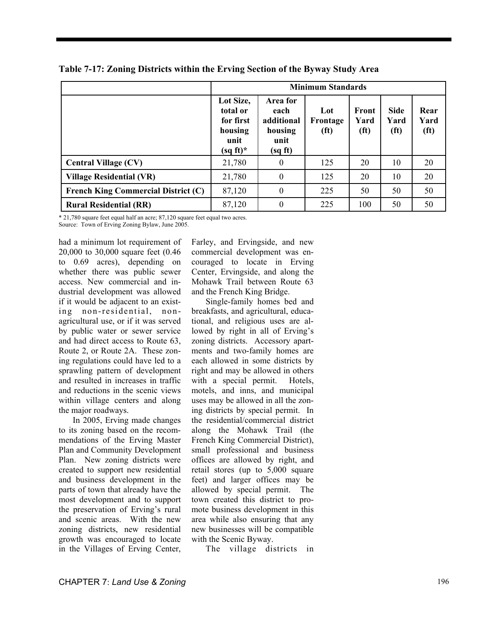|                                            |                                                                      |                                                              | <b>Minimum Standards</b>             |                                    |                             |                                   |
|--------------------------------------------|----------------------------------------------------------------------|--------------------------------------------------------------|--------------------------------------|------------------------------------|-----------------------------|-----------------------------------|
|                                            | Lot Size,<br>total or<br>for first<br>housing<br>unit<br>$(sq ft)^*$ | Area for<br>each<br>additional<br>housing<br>unit<br>(sq ft) | Lot<br>Frontage<br>(f <sup>t</sup> ) | Front<br>Yard<br>(f <sup>t</sup> ) | <b>Side</b><br>Yard<br>(ft) | Rear<br>Yard<br>(f <sup>t</sup> ) |
| <b>Central Village (CV)</b>                | 21,780                                                               | $\theta$                                                     | 125                                  | 20                                 | 10                          | 20                                |
| <b>Village Residential (VR)</b>            | 21,780                                                               | $\Omega$                                                     | 125                                  | 20                                 | 10                          | 20                                |
| <b>French King Commercial District (C)</b> | 87,120                                                               | $\theta$                                                     | 225                                  | 50                                 | 50                          | 50                                |
| <b>Rural Residential (RR)</b>              | 87,120                                                               | $\theta$                                                     | 225                                  | 100                                | 50                          | 50                                |

|  |  |  | Table 7-17: Zoning Districts within the Erving Section of the Byway Study Area |
|--|--|--|--------------------------------------------------------------------------------|
|  |  |  |                                                                                |

\* 21,780 square feet equal half an acre; 87,120 square feet equal two acres.

Source: Town of Erving Zoning Bylaw, June 2005.

had a minimum lot requirement of 20,000 to 30,000 square feet (0.46 to 0.69 acres), depending on whether there was public sewer access. New commercial and industrial development was allowed if it would be adjacent to an existing non-residential, nonagricultural use, or if it was served by public water or sewer service and had direct access to Route 63, Route 2, or Route 2A. These zoning regulations could have led to a sprawling pattern of development and resulted in increases in traffic and reductions in the scenic views within village centers and along the major roadways.

In 2005, Erving made changes to its zoning based on the recommendations of the Erving Master Plan and Community Development Plan. New zoning districts were created to support new residential and business development in the parts of town that already have the most development and to support the preservation of Erving's rural and scenic areas. With the new zoning districts, new residential growth was encouraged to locate in the Villages of Erving Center,

Farley, and Ervingside, and new commercial development was encouraged to locate in Erving Center, Ervingside, and along the Mohawk Trail between Route 63 and the French King Bridge.

Single-family homes bed and breakfasts, and agricultural, educational, and religious uses are allowed by right in all of Erving's zoning districts. Accessory apartments and two-family homes are each allowed in some districts by right and may be allowed in others with a special permit. Hotels, motels, and inns, and municipal uses may be allowed in all the zoning districts by special permit. In the residential/commercial district along the Mohawk Trail (the French King Commercial District), small professional and business offices are allowed by right, and retail stores (up to 5,000 square feet) and larger offices may be allowed by special permit. The town created this district to promote business development in this area while also ensuring that any new businesses will be compatible with the Scenic Byway.

The village districts in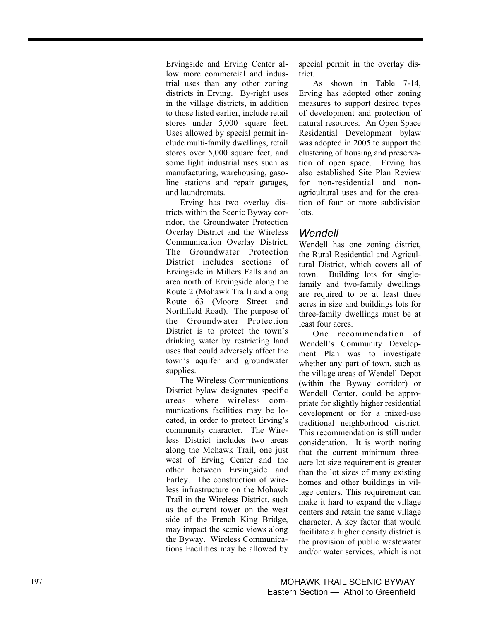Ervingside and Erving Center allow more commercial and industrial uses than any other zoning districts in Erving. By-right uses in the village districts, in addition to those listed earlier, include retail stores under 5,000 square feet. Uses allowed by special permit include multi-family dwellings, retail stores over 5,000 square feet, and some light industrial uses such as manufacturing, warehousing, gasoline stations and repair garages, and laundromats.

Erving has two overlay districts within the Scenic Byway corridor, the Groundwater Protection Overlay District and the Wireless Communication Overlay District. The Groundwater Protection District includes sections of Ervingside in Millers Falls and an area north of Ervingside along the Route 2 (Mohawk Trail) and along Route 63 (Moore Street and Northfield Road). The purpose of the Groundwater Protection District is to protect the town's drinking water by restricting land uses that could adversely affect the town's aquifer and groundwater supplies.

The Wireless Communications District bylaw designates specific areas where wireless communications facilities may be located, in order to protect Erving's community character. The Wireless District includes two areas along the Mohawk Trail, one just west of Erving Center and the other between Ervingside and Farley. The construction of wireless infrastructure on the Mohawk Trail in the Wireless District, such as the current tower on the west side of the French King Bridge, may impact the scenic views along the Byway. Wireless Communications Facilities may be allowed by

special permit in the overlay district.

As shown in Table 7-14, Erving has adopted other zoning measures to support desired types of development and protection of natural resources. An Open Space Residential Development bylaw was adopted in 2005 to support the clustering of housing and preservation of open space. Erving has also established Site Plan Review for non-residential and nonagricultural uses and for the creation of four or more subdivision lots.

#### *Wendell*

Wendell has one zoning district, the Rural Residential and Agricultural District, which covers all of town. Building lots for singlefamily and two-family dwellings are required to be at least three acres in size and buildings lots for three-family dwellings must be at least four acres.

One recommendation of Wendell's Community Development Plan was to investigate whether any part of town, such as the village areas of Wendell Depot (within the Byway corridor) or Wendell Center, could be appropriate for slightly higher residential development or for a mixed-use traditional neighborhood district. This recommendation is still under consideration. It is worth noting that the current minimum threeacre lot size requirement is greater than the lot sizes of many existing homes and other buildings in village centers. This requirement can make it hard to expand the village centers and retain the same village character. A key factor that would facilitate a higher density district is the provision of public wastewater and/or water services, which is not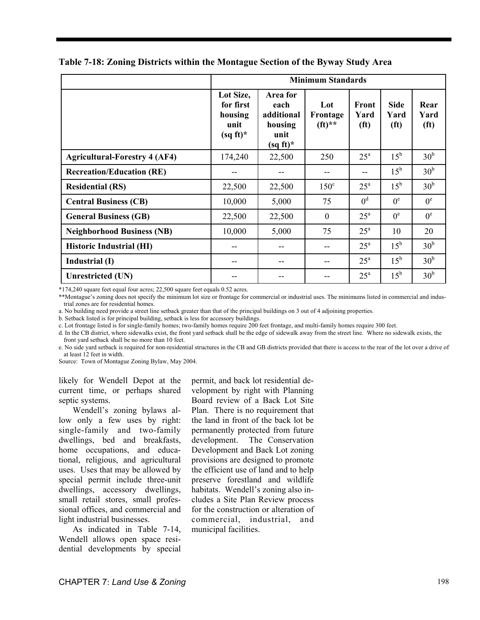|                                      |                                                          |                                                                  | <b>Minimum Standards</b>    |                                    |                                          |                                   |
|--------------------------------------|----------------------------------------------------------|------------------------------------------------------------------|-----------------------------|------------------------------------|------------------------------------------|-----------------------------------|
|                                      | Lot Size,<br>for first<br>housing<br>unit<br>$(sq ft)^*$ | Area for<br>each<br>additional<br>housing<br>unit<br>$(sq ft)^*$ | Lot<br>Frontage<br>$(ft)**$ | Front<br>Yard<br>(f <sup>t</sup> ) | <b>Side</b><br>Yard<br>(f <sup>t</sup> ) | Rear<br>Yard<br>(f <sup>t</sup> ) |
| <b>Agricultural-Forestry 4 (AF4)</b> | 174,240                                                  | 22,500                                                           | 250                         | $25^{\mathrm{a}}$                  | $15^{\rm b}$                             | 30 <sup>b</sup>                   |
| <b>Recreation/Education (RE)</b>     |                                                          | --                                                               | --                          | $- -$                              | $15^{\rm b}$                             | 30 <sup>b</sup>                   |
| <b>Residential (RS)</b>              | 22,500                                                   | 22,500                                                           | $150^{\circ}$               | $25^{\circ}$                       | $15^{\rm b}$                             | 30 <sup>b</sup>                   |
| <b>Central Business (CB)</b>         | 10,000                                                   | 5,000                                                            | 75                          | 0 <sup>d</sup>                     | $0^e$                                    | $0^e$                             |
| <b>General Business (GB)</b>         | 22,500                                                   | 22,500                                                           | $\mathbf{0}$                | $25^{\rm a}$                       | $0^e$                                    | $0^e$                             |
| <b>Neighborhood Business (NB)</b>    | 10,000                                                   | 5,000                                                            | 75                          | $25^{\mathrm{a}}$                  | 10                                       | 20                                |
| <b>Historic Industrial (HI)</b>      |                                                          | --                                                               |                             | $25^{\mathrm{a}}$                  | $15^{\rm b}$                             | 30 <sup>b</sup>                   |
| Industrial (I)                       |                                                          | --                                                               | --                          | $25^{\rm a}$                       | $15^{\rm b}$                             | 30 <sup>b</sup>                   |
| <b>Unrestricted (UN)</b>             |                                                          |                                                                  |                             | $25^{\rm a}$                       | $15^{\rm b}$                             | 30 <sup>b</sup>                   |

**Table 7-18: Zoning Districts within the Montague Section of the Byway Study Area** 

\*174,240 square feet equal four acres; 22,500 square feet equals 0.52 acres.

\*\*Montague's zoning does not specify the minimum lot size or frontage for commercial or industrial uses. The minimums listed in commercial and industrial zones are for residential homes.

a. No building need provide a street line setback greater than that of the principal buildings on 3 out of 4 adjoining properties.

b. Setback listed is for principal building, setback is less for accessory buildings.

c. Lot frontage listed is for single-family homes; two-family homes require 200 feet frontage, and multi-family homes require 300 feet.

d. In the CB district, where sidewalks exist, the front yard setback shall be the edge of sidewalk away from the street line. Where no sidewalk exists, the front yard setback shall be no more than 10 feet.

e. No side yard setback is required for non-residential structures in the CB and GB districts provided that there is access to the rear of the lot over a drive of at least 12 feet in width.

Source: Town of Montague Zoning Bylaw, May 2004.

likely for Wendell Depot at the current time, or perhaps shared septic systems.

Wendell's zoning bylaws allow only a few uses by right: single-family and two-family dwellings, bed and breakfasts, home occupations, and educational, religious, and agricultural uses. Uses that may be allowed by special permit include three-unit dwellings, accessory dwellings, small retail stores, small professional offices, and commercial and light industrial businesses.

As indicated in Table 7-14, Wendell allows open space residential developments by special permit, and back lot residential development by right with Planning Board review of a Back Lot Site Plan. There is no requirement that the land in front of the back lot be permanently protected from future development. The Conservation Development and Back Lot zoning provisions are designed to promote the efficient use of land and to help preserve forestland and wildlife habitats. Wendell's zoning also includes a Site Plan Review process for the construction or alteration of commercial, industrial, and municipal facilities.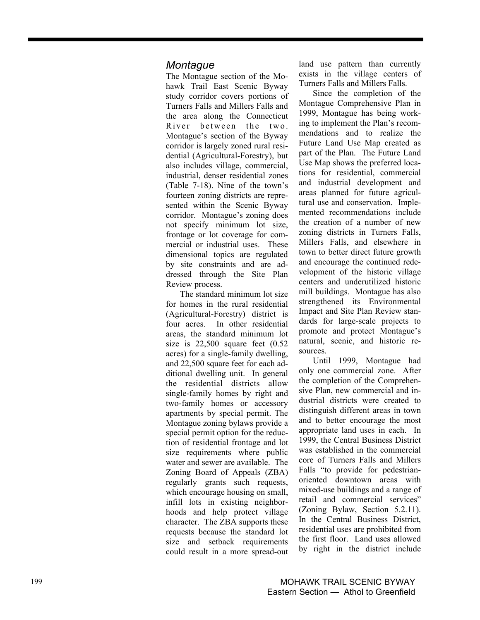### *Montague*

The Montague section of the Mohawk Trail East Scenic Byway study corridor covers portions of Turners Falls and Millers Falls and the area along the Connecticut River between the two. Montague's section of the Byway corridor is largely zoned rural residential (Agricultural-Forestry), but also includes village, commercial, industrial, denser residential zones (Table 7-18). Nine of the town's fourteen zoning districts are represented within the Scenic Byway corridor. Montague's zoning does not specify minimum lot size, frontage or lot coverage for commercial or industrial uses. These dimensional topics are regulated by site constraints and are addressed through the Site Plan Review process.

The standard minimum lot size for homes in the rural residential (Agricultural-Forestry) district is four acres. In other residential areas, the standard minimum lot size is 22,500 square feet (0.52 acres) for a single-family dwelling, and 22,500 square feet for each additional dwelling unit. In general the residential districts allow single-family homes by right and two-family homes or accessory apartments by special permit. The Montague zoning bylaws provide a special permit option for the reduction of residential frontage and lot size requirements where public water and sewer are available. The Zoning Board of Appeals (ZBA) regularly grants such requests, which encourage housing on small, infill lots in existing neighborhoods and help protect village character. The ZBA supports these requests because the standard lot size and setback requirements could result in a more spread-out land use pattern than currently exists in the village centers of Turners Falls and Millers Falls.

Since the completion of the Montague Comprehensive Plan in 1999, Montague has being working to implement the Plan's recommendations and to realize the Future Land Use Map created as part of the Plan. The Future Land Use Map shows the preferred locations for residential, commercial and industrial development and areas planned for future agricultural use and conservation. Implemented recommendations include the creation of a number of new zoning districts in Turners Falls, Millers Falls, and elsewhere in town to better direct future growth and encourage the continued redevelopment of the historic village centers and underutilized historic mill buildings. Montague has also strengthened its Environmental Impact and Site Plan Review standards for large-scale projects to promote and protect Montague's natural, scenic, and historic resources.

Until 1999, Montague had only one commercial zone. After the completion of the Comprehensive Plan, new commercial and industrial districts were created to distinguish different areas in town and to better encourage the most appropriate land uses in each. In 1999, the Central Business District was established in the commercial core of Turners Falls and Millers Falls "to provide for pedestrianoriented downtown areas with mixed-use buildings and a range of retail and commercial services" (Zoning Bylaw, Section 5.2.11). In the Central Business District, residential uses are prohibited from the first floor. Land uses allowed by right in the district include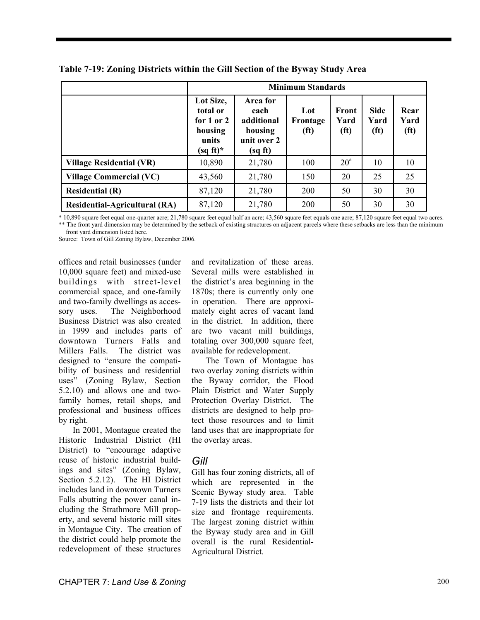|                                      |                                                                        |                                                                     | <b>Minimum Standards</b>             |                                    |                                          |                                   |
|--------------------------------------|------------------------------------------------------------------------|---------------------------------------------------------------------|--------------------------------------|------------------------------------|------------------------------------------|-----------------------------------|
|                                      | Lot Size,<br>total or<br>for 1 or 2<br>housing<br>units<br>$(sq ft)^*$ | Area for<br>each<br>additional<br>housing<br>unit over 2<br>(sq ft) | Lot<br>Frontage<br>(f <sup>t</sup> ) | Front<br>Yard<br>(f <sup>t</sup> ) | <b>Side</b><br>Yard<br>(f <sup>t</sup> ) | Rear<br>Yard<br>(f <sup>t</sup> ) |
| <b>Village Residential (VR)</b>      | 10,890                                                                 | 21,780                                                              | 100                                  | 20 <sup>a</sup>                    | 10                                       | 10                                |
| <b>Village Commercial (VC)</b>       | 43,560                                                                 | 21,780                                                              | 150                                  | 20                                 | 25                                       | 25                                |
| <b>Residential (R)</b>               | 87,120                                                                 | 21,780                                                              | 200                                  | 50                                 | 30                                       | 30                                |
| <b>Residential-Agricultural (RA)</b> | 87,120                                                                 | 21,780                                                              | 200                                  | 50                                 | 30                                       | 30                                |

**Table 7-19: Zoning Districts within the Gill Section of the Byway Study Area** 

\* 10,890 square feet equal one-quarter acre; 21,780 square feet equal half an acre; 43,560 square feet equals one acre; 87,120 square feet equal two acres. \*\* The front yard dimension may be determined by the setback of existing structures on adjacent parcels where these setbacks are less than the minimum front yard dimension listed here.

Source: Town of Gill Zoning Bylaw, December 2006.

offices and retail businesses (under 10,000 square feet) and mixed-use buildings with street-level commercial space, and one-family and two-family dwellings as accessory uses. The Neighborhood Business District was also created in 1999 and includes parts of downtown Turners Falls and Millers Falls. The district was designed to "ensure the compatibility of business and residential uses" (Zoning Bylaw, Section 5.2.10) and allows one and twofamily homes, retail shops, and professional and business offices by right.

In 2001, Montague created the Historic Industrial District (HI District) to "encourage adaptive reuse of historic industrial buildings and sites" (Zoning Bylaw, Section 5.2.12). The HI District includes land in downtown Turners Falls abutting the power canal including the Strathmore Mill property, and several historic mill sites in Montague City. The creation of the district could help promote the redevelopment of these structures

and revitalization of these areas. Several mills were established in the district's area beginning in the 1870s; there is currently only one in operation. There are approximately eight acres of vacant land in the district. In addition, there are two vacant mill buildings, totaling over 300,000 square feet, available for redevelopment.

The Town of Montague has two overlay zoning districts within the Byway corridor, the Flood Plain District and Water Supply Protection Overlay District. The districts are designed to help protect those resources and to limit land uses that are inappropriate for the overlay areas.

## *Gill*

Gill has four zoning districts, all of which are represented in the Scenic Byway study area. Table 7-19 lists the districts and their lot size and frontage requirements. The largest zoning district within the Byway study area and in Gill overall is the rural Residential-Agricultural District.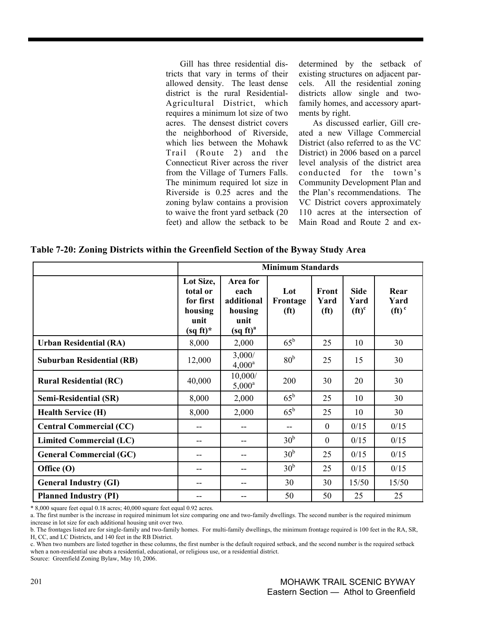Gill has three residential districts that vary in terms of their allowed density. The least dense district is the rural Residential-Agricultural District, which requires a minimum lot size of two acres. The densest district covers the neighborhood of Riverside, which lies between the Mohawk Trail (Route 2) and the Connecticut River across the river from the Village of Turners Falls. The minimum required lot size in Riverside is 0.25 acres and the zoning bylaw contains a provision to waive the front yard setback (20 feet) and allow the setback to be determined by the setback of existing structures on adjacent parcels. All the residential zoning districts allow single and twofamily homes, and accessory apartments by right.

As discussed earlier, Gill created a new Village Commercial District (also referred to as the VC District) in 2006 based on a parcel level analysis of the district area conducted for the town's Community Development Plan and the Plan's recommendations. The VC District covers approximately 110 acres at the intersection of Main Road and Route 2 and ex-

**Table 7-20: Zoning Districts within the Greenfield Section of the Byway Study Area** 

|                                  |                                                                      |                                                                                                     | <b>Minimum Standards</b>             |                                    |                                 |                          |
|----------------------------------|----------------------------------------------------------------------|-----------------------------------------------------------------------------------------------------|--------------------------------------|------------------------------------|---------------------------------|--------------------------|
|                                  | Lot Size,<br>total or<br>for first<br>housing<br>unit<br>$(sq ft)^*$ | Area for<br>each<br>additional<br>housing<br>unit<br>$\left(\text{sq } \text{ft}\right)^{\text{a}}$ | Lot<br>Frontage<br>(f <sup>t</sup> ) | Front<br>Yard<br>(f <sup>t</sup> ) | <b>Side</b><br>Yard<br>$(ft)^c$ | Rear<br>Yard<br>$(ft)^c$ |
| <b>Urban Residential (RA)</b>    | 8,000                                                                | 2,000                                                                                               | $65^{\rm b}$                         | 25                                 | 10                              | 30                       |
| <b>Suburban Residential (RB)</b> | 12,000                                                               | 3,000/<br>$4,000^a$                                                                                 | 80 <sup>b</sup>                      | 25                                 | 15                              | 30                       |
| <b>Rural Residential (RC)</b>    | 40,000                                                               | 10,000/<br>$5,000^a$                                                                                | 200                                  | 30                                 | 20                              | 30                       |
| <b>Semi-Residential (SR)</b>     | 8,000                                                                | 2,000                                                                                               | $65^{\rm b}$                         | 25                                 | 10                              | 30                       |
| <b>Health Service (H)</b>        | 8,000                                                                | 2,000                                                                                               | $65^{\rm b}$                         | 25                                 | 10                              | 30                       |
| <b>Central Commercial (CC)</b>   |                                                                      | --                                                                                                  | --                                   | $\theta$                           | 0/15                            | 0/15                     |
| <b>Limited Commercial (LC)</b>   | --                                                                   | --                                                                                                  | 30 <sup>b</sup>                      | $\mathbf{0}$                       | 0/15                            | 0/15                     |
| <b>General Commercial (GC)</b>   | --                                                                   | --                                                                                                  | 30 <sup>b</sup>                      | 25                                 | 0/15                            | 0/15                     |
| Office (O)                       | --                                                                   | --                                                                                                  | 30 <sup>b</sup>                      | 25                                 | 0/15                            | 0/15                     |
| <b>General Industry (GI)</b>     | --                                                                   | --                                                                                                  | 30                                   | 30                                 | 15/50                           | 15/50                    |
| <b>Planned Industry (PI)</b>     | --                                                                   | --                                                                                                  | 50                                   | 50                                 | 25                              | 25                       |

\* 8,000 square feet equal 0.18 acres; 40,000 square feet equal 0.92 acres.

a. The first number is the increase in required minimum lot size comparing one and two-family dwellings. The second number is the required minimum increase in lot size for each additional housing unit over two.

b. The frontages listed are for single-family and two-family homes. For multi-family dwellings, the minimum frontage required is 100 feet in the RA, SR, H, CC, and LC Districts, and 140 feet in the RB District.

c. When two numbers are listed together in these columns, the first number is the default required setback, and the second number is the required setback when a non-residential use abuts a residential, educational, or religious use, or a residential district.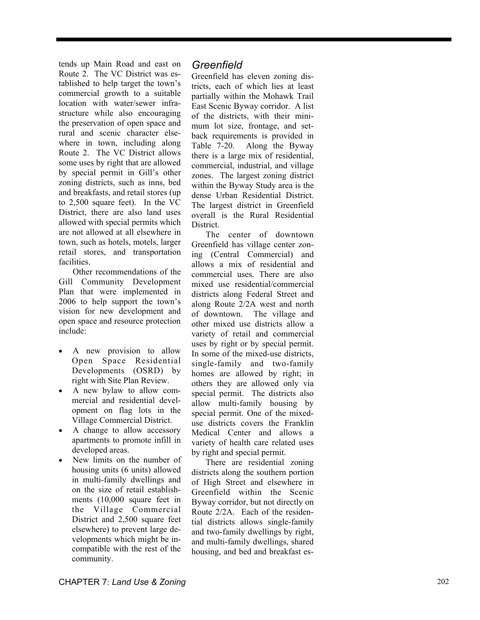tends up Main Road and east on Route 2. The VC District was established to help target the town's commercial growth to a suitable location with water/sewer infrastructure while also encouraging the preservation of open space and rural and scenic character elsewhere in town, including along Route 2. The VC District allows some uses by right that are allowed by special permit in Gill's other zoning districts, such as inns, bed and breakfasts, and retail stores (up to 2,500 square feet). In the VC District, there are also land uses allowed with special permits which are not allowed at all elsewhere in town, such as hotels, motels, larger retail stores, and transportation facilities.

Other recommendations of the Gill Community Development Plan that were implemented in 2006 to help support the town's vision for new development and open space and resource protection include:

- A new provision to allow Open Space Residential Developments (OSRD) by right with Site Plan Review.
- A new bylaw to allow commercial and residential development on flag lots in the Village Commercial District.
- A change to allow accessory apartments to promote infill in developed areas.
- New limits on the number of housing units (6 units) allowed in multi-family dwellings and on the size of retail establishments (10,000 square feet in the Village Commercial District and 2,500 square feet elsewhere) to prevent large developments which might be incompatible with the rest of the community.

### *Greenfield*

Greenfield has eleven zoning districts, each of which lies at least partially within the Mohawk Trail East Scenic Byway corridor. A list of the districts, with their minimum lot size, frontage, and setback requirements is provided in Table 7-20. Along the Byway there is a large mix of residential, commercial, industrial, and village zones. The largest zoning district within the Byway Study area is the dense Urban Residential District. The largest district in Greenfield overall is the Rural Residential District.

The center of downtown Greenfield has village center zoning (Central Commercial) and allows a mix of residential and commercial uses. There are also mixed use residential/commercial districts along Federal Street and along Route 2/2A west and north of downtown. The village and other mixed use districts allow a variety of retail and commercial uses by right or by special permit. In some of the mixed-use districts, single-family and two-family homes are allowed by right; in others they are allowed only via special permit. The districts also allow multi-family housing by special permit. One of the mixeduse districts covers the Franklin Medical Center and allows a variety of health care related uses by right and special permit.

There are residential zoning districts along the southern portion of High Street and elsewhere in Greenfield within the Scenic Byway corridor, but not directly on Route 2/2A. Each of the residential districts allows single-family and two-family dwellings by right, and multi-family dwellings, shared housing, and bed and breakfast es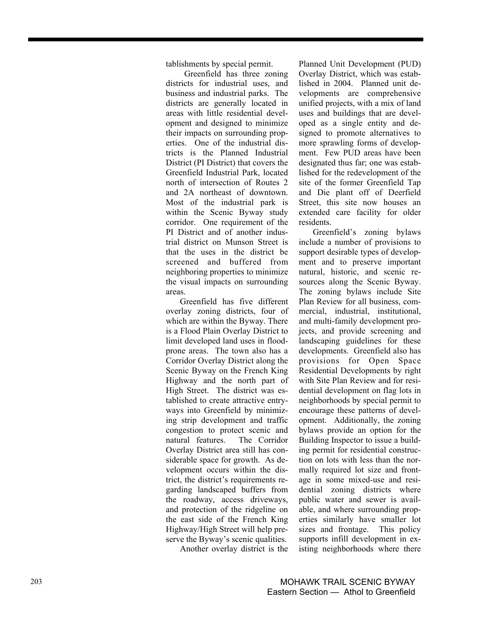tablishments by special permit.

 Greenfield has three zoning districts for industrial uses, and business and industrial parks. The districts are generally located in areas with little residential development and designed to minimize their impacts on surrounding properties. One of the industrial districts is the Planned Industrial District (PI District) that covers the Greenfield Industrial Park, located north of intersection of Routes 2 and 2A northeast of downtown. Most of the industrial park is within the Scenic Byway study corridor. One requirement of the PI District and of another industrial district on Munson Street is that the uses in the district be screened and buffered from neighboring properties to minimize the visual impacts on surrounding areas.

Greenfield has five different overlay zoning districts, four of which are within the Byway. There is a Flood Plain Overlay District to limit developed land uses in floodprone areas. The town also has a Corridor Overlay District along the Scenic Byway on the French King Highway and the north part of High Street. The district was established to create attractive entryways into Greenfield by minimizing strip development and traffic congestion to protect scenic and natural features. The Corridor Overlay District area still has considerable space for growth. As development occurs within the district, the district's requirements regarding landscaped buffers from the roadway, access driveways, and protection of the ridgeline on the east side of the French King Highway/High Street will help preserve the Byway's scenic qualities.

Another overlay district is the

Planned Unit Development (PUD) Overlay District, which was established in 2004. Planned unit developments are comprehensive unified projects, with a mix of land uses and buildings that are developed as a single entity and designed to promote alternatives to more sprawling forms of development. Few PUD areas have been designated thus far; one was established for the redevelopment of the site of the former Greenfield Tap and Die plant off of Deerfield Street, this site now houses an extended care facility for older residents.

Greenfield's zoning bylaws include a number of provisions to support desirable types of development and to preserve important natural, historic, and scenic resources along the Scenic Byway. The zoning bylaws include Site Plan Review for all business, commercial, industrial, institutional, and multi-family development projects, and provide screening and landscaping guidelines for these developments. Greenfield also has provisions for Open Space Residential Developments by right with Site Plan Review and for residential development on flag lots in neighborhoods by special permit to encourage these patterns of development. Additionally, the zoning bylaws provide an option for the Building Inspector to issue a building permit for residential construction on lots with less than the normally required lot size and frontage in some mixed-use and residential zoning districts where public water and sewer is available, and where surrounding properties similarly have smaller lot sizes and frontage. This policy supports infill development in existing neighborhoods where there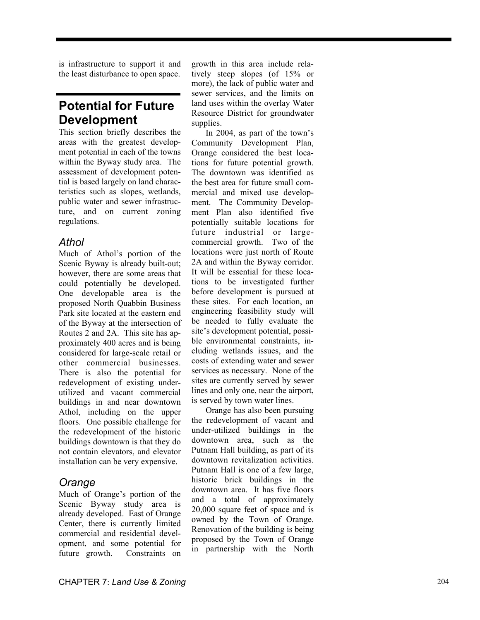is infrastructure to support it and the least disturbance to open space.

## **Potential for Future Development**

This section briefly describes the areas with the greatest development potential in each of the towns within the Byway study area. The assessment of development potential is based largely on land characteristics such as slopes, wetlands, public water and sewer infrastructure, and on current zoning regulations.

## *Athol*

Much of Athol's portion of the Scenic Byway is already built-out; however, there are some areas that could potentially be developed. One developable area is the proposed North Quabbin Business Park site located at the eastern end of the Byway at the intersection of Routes 2 and 2A. This site has approximately 400 acres and is being considered for large-scale retail or other commercial businesses. There is also the potential for redevelopment of existing underutilized and vacant commercial buildings in and near downtown Athol, including on the upper floors. One possible challenge for the redevelopment of the historic buildings downtown is that they do not contain elevators, and elevator installation can be very expensive.

## *Orange*

Much of Orange's portion of the Scenic Byway study area is already developed. East of Orange Center, there is currently limited commercial and residential development, and some potential for future growth. Constraints on growth in this area include relatively steep slopes (of 15% or more), the lack of public water and sewer services, and the limits on land uses within the overlay Water Resource District for groundwater supplies.

In 2004, as part of the town's Community Development Plan, Orange considered the best locations for future potential growth. The downtown was identified as the best area for future small commercial and mixed use development. The Community Development Plan also identified five potentially suitable locations for future industrial or largecommercial growth. Two of the locations were just north of Route 2A and within the Byway corridor. It will be essential for these locations to be investigated further before development is pursued at these sites. For each location, an engineering feasibility study will be needed to fully evaluate the site's development potential, possible environmental constraints, including wetlands issues, and the costs of extending water and sewer services as necessary. None of the sites are currently served by sewer lines and only one, near the airport, is served by town water lines.

Orange has also been pursuing the redevelopment of vacant and under-utilized buildings in the downtown area, such as the Putnam Hall building, as part of its downtown revitalization activities. Putnam Hall is one of a few large, historic brick buildings in the downtown area. It has five floors and a total of approximately 20,000 square feet of space and is owned by the Town of Orange. Renovation of the building is being proposed by the Town of Orange in partnership with the North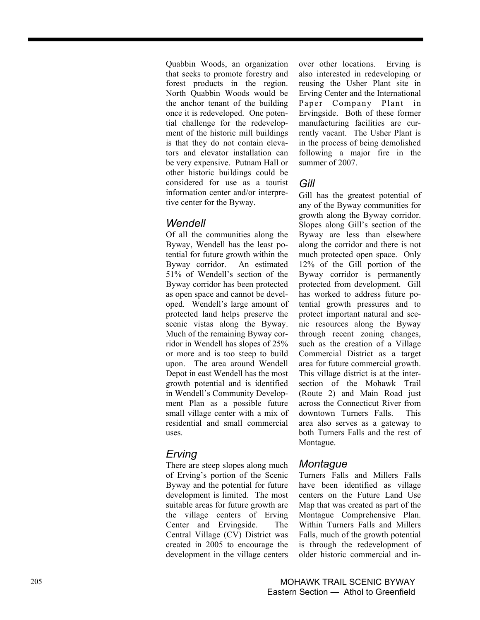Quabbin Woods, an organization that seeks to promote forestry and forest products in the region. North Quabbin Woods would be the anchor tenant of the building once it is redeveloped. One potential challenge for the redevelopment of the historic mill buildings is that they do not contain elevators and elevator installation can be very expensive. Putnam Hall or other historic buildings could be considered for use as a tourist information center and/or interpretive center for the Byway.

## *Wendell*

Of all the communities along the Byway, Wendell has the least potential for future growth within the Byway corridor. An estimated 51% of Wendell's section of the Byway corridor has been protected as open space and cannot be developed. Wendell's large amount of protected land helps preserve the scenic vistas along the Byway. Much of the remaining Byway corridor in Wendell has slopes of 25% or more and is too steep to build upon. The area around Wendell Depot in east Wendell has the most growth potential and is identified in Wendell's Community Development Plan as a possible future small village center with a mix of residential and small commercial uses.

## *Erving*

There are steep slopes along much of Erving's portion of the Scenic Byway and the potential for future development is limited. The most suitable areas for future growth are the village centers of Erving Center and Ervingside. The Central Village (CV) District was created in 2005 to encourage the development in the village centers over other locations. Erving is also interested in redeveloping or reusing the Usher Plant site in Erving Center and the International Paper Company Plant in Ervingside. Both of these former manufacturing facilities are currently vacant. The Usher Plant is in the process of being demolished following a major fire in the summer of 2007.

## *Gill*

Gill has the greatest potential of any of the Byway communities for growth along the Byway corridor. Slopes along Gill's section of the Byway are less than elsewhere along the corridor and there is not much protected open space. Only 12% of the Gill portion of the Byway corridor is permanently protected from development. Gill has worked to address future potential growth pressures and to protect important natural and scenic resources along the Byway through recent zoning changes, such as the creation of a Village Commercial District as a target area for future commercial growth. This village district is at the intersection of the Mohawk Trail (Route 2) and Main Road just across the Connecticut River from downtown Turners Falls. This area also serves as a gateway to both Turners Falls and the rest of Montague.

## *Montague*

Turners Falls and Millers Falls have been identified as village centers on the Future Land Use Map that was created as part of the Montague Comprehensive Plan. Within Turners Falls and Millers Falls, much of the growth potential is through the redevelopment of older historic commercial and in-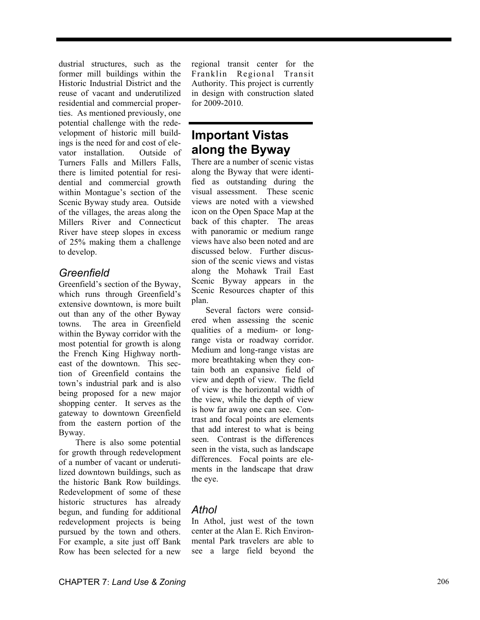dustrial structures, such as the former mill buildings within the Historic Industrial District and the reuse of vacant and underutilized residential and commercial properties. As mentioned previously, one potential challenge with the redevelopment of historic mill buildings is the need for and cost of elevator installation. Outside of Turners Falls and Millers Falls, there is limited potential for residential and commercial growth within Montague's section of the Scenic Byway study area. Outside of the villages, the areas along the Millers River and Connecticut River have steep slopes in excess of 25% making them a challenge to develop.

## *Greenfield*

Greenfield's section of the Byway, which runs through Greenfield's extensive downtown, is more built out than any of the other Byway towns. The area in Greenfield within the Byway corridor with the most potential for growth is along the French King Highway northeast of the downtown. This section of Greenfield contains the town's industrial park and is also being proposed for a new major shopping center. It serves as the gateway to downtown Greenfield from the eastern portion of the Byway.

There is also some potential for growth through redevelopment of a number of vacant or underutilized downtown buildings, such as the historic Bank Row buildings. Redevelopment of some of these historic structures has already begun, and funding for additional redevelopment projects is being pursued by the town and others. For example, a site just off Bank Row has been selected for a new

regional transit center for the Franklin Regional Transit Authority. This project is currently in design with construction slated for 2009-2010.

## **Important Vistas along the Byway**

There are a number of scenic vistas along the Byway that were identified as outstanding during the visual assessment. These scenic views are noted with a viewshed icon on the Open Space Map at the back of this chapter. The areas with panoramic or medium range views have also been noted and are discussed below. Further discussion of the scenic views and vistas along the Mohawk Trail East Scenic Byway appears in the Scenic Resources chapter of this plan.

Several factors were considered when assessing the scenic qualities of a medium- or longrange vista or roadway corridor. Medium and long-range vistas are more breathtaking when they contain both an expansive field of view and depth of view. The field of view is the horizontal width of the view, while the depth of view is how far away one can see. Contrast and focal points are elements that add interest to what is being seen. Contrast is the differences seen in the vista, such as landscape differences. Focal points are elements in the landscape that draw the eye.

## *Athol*

In Athol, just west of the town center at the Alan E. Rich Environmental Park travelers are able to see a large field beyond the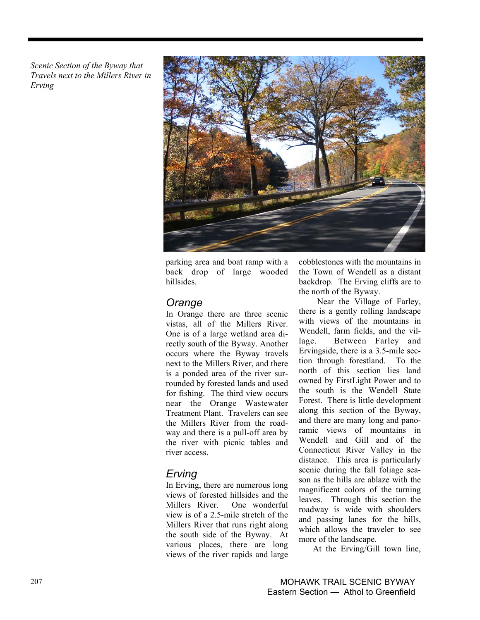*Scenic Section of the Byway that Travels next to the Millers River in Erving*



parking area and boat ramp with a back drop of large wooded hillsides.

## *Orange*

In Orange there are three scenic vistas, all of the Millers River. One is of a large wetland area directly south of the Byway. Another occurs where the Byway travels next to the Millers River, and there is a ponded area of the river surrounded by forested lands and used for fishing. The third view occurs near the Orange Wastewater Treatment Plant. Travelers can see the Millers River from the roadway and there is a pull-off area by the river with picnic tables and river access.

## *Erving*

In Erving, there are numerous long views of forested hillsides and the Millers River. One wonderful view is of a 2.5-mile stretch of the Millers River that runs right along the south side of the Byway. At various places, there are long views of the river rapids and large cobblestones with the mountains in the Town of Wendell as a distant backdrop. The Erving cliffs are to the north of the Byway.

 Near the Village of Farley, there is a gently rolling landscape with views of the mountains in Wendell, farm fields, and the village. Between Farley and Ervingside, there is a 3.5-mile section through forestland. To the north of this section lies land owned by FirstLight Power and to the south is the Wendell State Forest. There is little development along this section of the Byway, and there are many long and panoramic views of mountains in Wendell and Gill and of the Connecticut River Valley in the distance. This area is particularly scenic during the fall foliage season as the hills are ablaze with the magnificent colors of the turning leaves. Through this section the roadway is wide with shoulders and passing lanes for the hills, which allows the traveler to see more of the landscape.

At the Erving/Gill town line,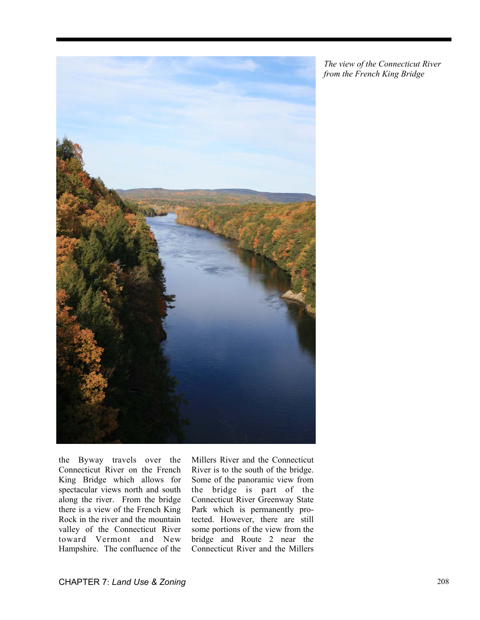

*The view of the Connecticut River from the French King Bridge* 

the Byway travels over the Connecticut River on the French King Bridge which allows for spectacular views north and south along the river. From the bridge there is a view of the French King Rock in the river and the mountain valley of the Connecticut River toward Vermont and New Hampshire. The confluence of the

Millers River and the Connecticut River is to the south of the bridge. Some of the panoramic view from the bridge is part of the Connecticut River Greenway State Park which is permanently protected. However, there are still some portions of the view from the bridge and Route 2 near the Connecticut River and the Millers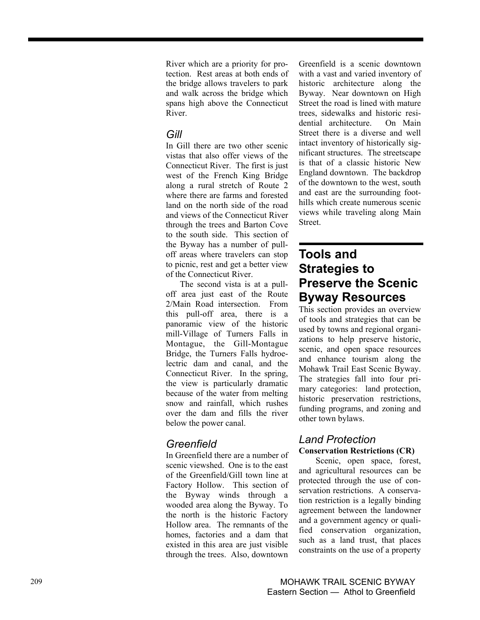River which are a priority for protection. Rest areas at both ends of the bridge allows travelers to park and walk across the bridge which spans high above the Connecticut River.

## *Gill*

In Gill there are two other scenic vistas that also offer views of the Connecticut River. The first is just west of the French King Bridge along a rural stretch of Route 2 where there are farms and forested land on the north side of the road and views of the Connecticut River through the trees and Barton Cove to the south side. This section of the Byway has a number of pulloff areas where travelers can stop to picnic, rest and get a better view of the Connecticut River.

The second vista is at a pulloff area just east of the Route 2/Main Road intersection. From this pull-off area, there is a panoramic view of the historic mill-Village of Turners Falls in Montague, the Gill-Montague Bridge, the Turners Falls hydroelectric dam and canal, and the Connecticut River. In the spring, the view is particularly dramatic because of the water from melting snow and rainfall, which rushes over the dam and fills the river below the power canal.

## *Greenfield*

In Greenfield there are a number of scenic viewshed. One is to the east of the Greenfield/Gill town line at Factory Hollow. This section of the Byway winds through a wooded area along the Byway. To the north is the historic Factory Hollow area. The remnants of the homes, factories and a dam that existed in this area are just visible through the trees. Also, downtown Greenfield is a scenic downtown with a vast and varied inventory of historic architecture along the Byway. Near downtown on High Street the road is lined with mature trees, sidewalks and historic residential architecture. On Main Street there is a diverse and well intact inventory of historically significant structures. The streetscape is that of a classic historic New England downtown. The backdrop of the downtown to the west, south and east are the surrounding foothills which create numerous scenic views while traveling along Main Street.

## **Tools and Strategies to Preserve the Scenic Byway Resources**

This section provides an overview of tools and strategies that can be used by towns and regional organizations to help preserve historic, scenic, and open space resources and enhance tourism along the Mohawk Trail East Scenic Byway. The strategies fall into four primary categories: land protection, historic preservation restrictions, funding programs, and zoning and other town bylaws.

### *Land Protection* **Conservation Restrictions (CR)**

Scenic, open space, forest, and agricultural resources can be protected through the use of conservation restrictions. A conservation restriction is a legally binding agreement between the landowner and a government agency or qualified conservation organization, such as a land trust, that places constraints on the use of a property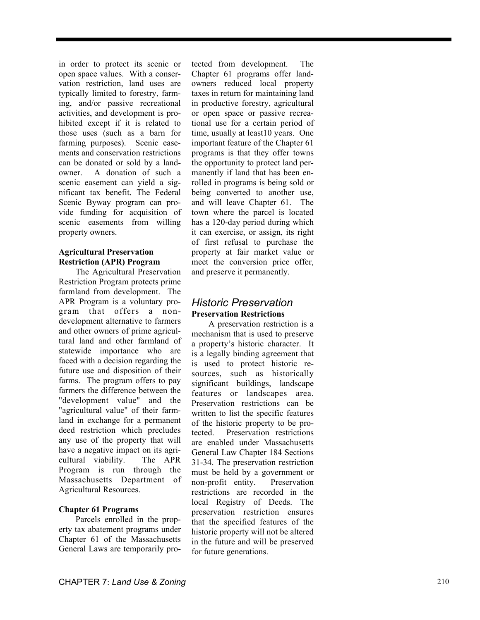in order to protect its scenic or open space values. With a conservation restriction, land uses are typically limited to forestry, farming, and/or passive recreational activities, and development is prohibited except if it is related to those uses (such as a barn for farming purposes). Scenic easements and conservation restrictions can be donated or sold by a landowner. A donation of such a scenic easement can yield a significant tax benefit. The Federal Scenic Byway program can provide funding for acquisition of scenic easements from willing property owners.

#### **Agricultural Preservation Restriction (APR) Program**

The Agricultural Preservation Restriction Program protects prime farmland from development. The APR Program is a voluntary program that offers a nondevelopment alternative to farmers and other owners of prime agricultural land and other farmland of statewide importance who are faced with a decision regarding the future use and disposition of their farms. The program offers to pay farmers the difference between the "development value" and the "agricultural value" of their farmland in exchange for a permanent deed restriction which precludes any use of the property that will have a negative impact on its agricultural viability. The APR Program is run through the Massachusetts Department of Agricultural Resources.

#### **Chapter 61 Programs**

Parcels enrolled in the property tax abatement programs under Chapter 61 of the Massachusetts General Laws are temporarily pro-

tected from development. The Chapter 61 programs offer landowners reduced local property taxes in return for maintaining land in productive forestry, agricultural or open space or passive recreational use for a certain period of time, usually at least10 years. One important feature of the Chapter 61 programs is that they offer towns the opportunity to protect land permanently if land that has been enrolled in programs is being sold or being converted to another use, and will leave Chapter 61. The town where the parcel is located has a 120-day period during which it can exercise, or assign, its right of first refusal to purchase the property at fair market value or meet the conversion price offer, and preserve it permanently.

## *Historic Preservation*  **Preservation Restrictions**

A preservation restriction is a mechanism that is used to preserve a property's historic character. It is a legally binding agreement that is used to protect historic resources, such as historically significant buildings, landscape features or landscapes area. Preservation restrictions can be written to list the specific features of the historic property to be protected. Preservation restrictions are enabled under Massachusetts General Law Chapter 184 Sections 31-34. The preservation restriction must be held by a government or non-profit entity. Preservation restrictions are recorded in the local Registry of Deeds. The preservation restriction ensures that the specified features of the historic property will not be altered in the future and will be preserved for future generations.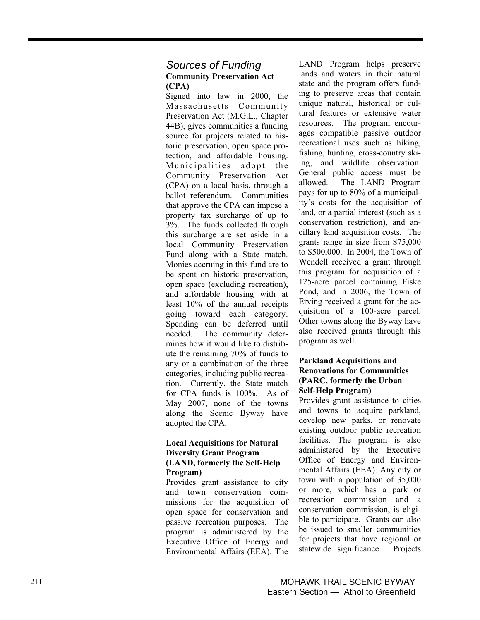### *Sources of Funding*  **Community Preservation Act (CPA)**

Signed into law in 2000, the Massachusetts Community Preservation Act (M.G.L., Chapter 44B), gives communities a funding source for projects related to historic preservation, open space protection, and affordable housing. Municipalities adopt the Community Preservation Act (CPA) on a local basis, through a ballot referendum. Communities that approve the CPA can impose a property tax surcharge of up to 3%. The funds collected through this surcharge are set aside in a local Community Preservation Fund along with a State match. Monies accruing in this fund are to be spent on historic preservation, open space (excluding recreation), and affordable housing with at least 10% of the annual receipts going toward each category. Spending can be deferred until needed. The community determines how it would like to distribute the remaining 70% of funds to any or a combination of the three categories, including public recreation. Currently, the State match for CPA funds is 100%. As of May 2007, none of the towns along the Scenic Byway have adopted the CPA.

#### **Local Acquisitions for Natural Diversity Grant Program (LAND, formerly the Self-Help Program)**

Provides grant assistance to city and town conservation commissions for the acquisition of open space for conservation and passive recreation purposes. The program is administered by the Executive Office of Energy and Environmental Affairs (EEA). The LAND Program helps preserve lands and waters in their natural state and the program offers funding to preserve areas that contain unique natural, historical or cultural features or extensive water resources. The program encourages compatible passive outdoor recreational uses such as hiking, fishing, hunting, cross-country skiing, and wildlife observation. General public access must be allowed. The LAND Program pays for up to 80% of a municipality's costs for the acquisition of land, or a partial interest (such as a conservation restriction), and ancillary land acquisition costs. The grants range in size from \$75,000 to \$500,000. In 2004, the Town of Wendell received a grant through this program for acquisition of a 125-acre parcel containing Fiske Pond, and in 2006, the Town of Erving received a grant for the acquisition of a 100-acre parcel. Other towns along the Byway have also received grants through this program as well.

#### **Parkland Acquisitions and Renovations for Communities (PARC, formerly the Urban Self-Help Program)**

Provides grant assistance to cities and towns to acquire parkland, develop new parks, or renovate existing outdoor public recreation facilities. The program is also administered by the Executive Office of Energy and Environmental Affairs (EEA). Any city or town with a population of 35,000 or more, which has a park or recreation commission and a conservation commission, is eligible to participate. Grants can also be issued to smaller communities for projects that have regional or statewide significance. Projects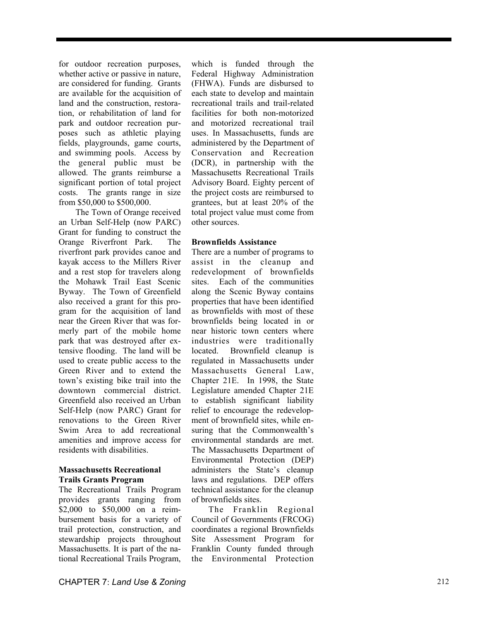for outdoor recreation purposes, whether active or passive in nature, are considered for funding. Grants are available for the acquisition of land and the construction, restoration, or rehabilitation of land for park and outdoor recreation purposes such as athletic playing fields, playgrounds, game courts, and swimming pools. Access by the general public must be allowed. The grants reimburse a significant portion of total project costs. The grants range in size from \$50,000 to \$500,000.

The Town of Orange received an Urban Self-Help (now PARC) Grant for funding to construct the Orange Riverfront Park. The riverfront park provides canoe and kayak access to the Millers River and a rest stop for travelers along the Mohawk Trail East Scenic Byway. The Town of Greenfield also received a grant for this program for the acquisition of land near the Green River that was formerly part of the mobile home park that was destroyed after extensive flooding. The land will be used to create public access to the Green River and to extend the town's existing bike trail into the downtown commercial district. Greenfield also received an Urban Self-Help (now PARC) Grant for renovations to the Green River Swim Area to add recreational amenities and improve access for residents with disabilities.

#### **Massachusetts Recreational Trails Grants Program**

The Recreational Trails Program provides grants ranging from \$2,000 to \$50,000 on a reimbursement basis for a variety of trail protection, construction, and stewardship projects throughout Massachusetts. It is part of the national Recreational Trails Program,

which is funded through the Federal Highway Administration (FHWA). Funds are disbursed to each state to develop and maintain recreational trails and trail-related facilities for both non-motorized and motorized recreational trail uses. In Massachusetts, funds are administered by the Department of Conservation and Recreation (DCR), in partnership with the Massachusetts Recreational Trails Advisory Board. Eighty percent of the project costs are reimbursed to grantees, but at least 20% of the total project value must come from other sources.

#### **Brownfields Assistance**

There are a number of programs to assist in the cleanup and redevelopment of brownfields sites. Each of the communities along the Scenic Byway contains properties that have been identified as brownfields with most of these brownfields being located in or near historic town centers where industries were traditionally located. Brownfield cleanup is regulated in Massachusetts under Massachusetts General Law, Chapter 21E. In 1998, the State Legislature amended Chapter 21E to establish significant liability relief to encourage the redevelopment of brownfield sites, while ensuring that the Commonwealth's environmental standards are met. The Massachusetts Department of Environmental Protection (DEP) administers the State's cleanup laws and regulations. DEP offers technical assistance for the cleanup of brownfields sites.

The Franklin Regional Council of Governments (FRCOG) coordinates a regional Brownfields Site Assessment Program for Franklin County funded through the Environmental Protection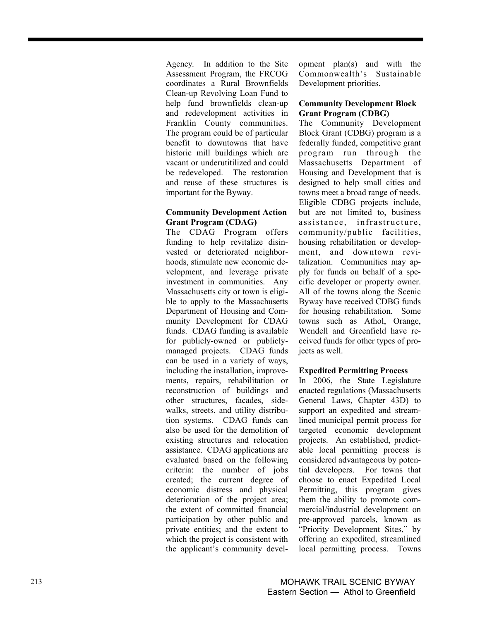Agency. In addition to the Site Assessment Program, the FRCOG coordinates a Rural Brownfields Clean-up Revolving Loan Fund to help fund brownfields clean-up and redevelopment activities in Franklin County communities. The program could be of particular benefit to downtowns that have historic mill buildings which are vacant or underutitilized and could be redeveloped. The restoration and reuse of these structures is important for the Byway.

#### **Community Development Action Grant Program (CDAG)**

The CDAG Program offers funding to help revitalize disinvested or deteriorated neighborhoods, stimulate new economic development, and leverage private investment in communities. Any Massachusetts city or town is eligible to apply to the Massachusetts Department of Housing and Community Development for CDAG funds. CDAG funding is available for publicly-owned or publiclymanaged projects. CDAG funds can be used in a variety of ways, including the installation, improvements, repairs, rehabilitation or reconstruction of buildings and other structures, facades, sidewalks, streets, and utility distribution systems. CDAG funds can also be used for the demolition of existing structures and relocation assistance. CDAG applications are evaluated based on the following criteria: the number of jobs created; the current degree of economic distress and physical deterioration of the project area; the extent of committed financial participation by other public and private entities; and the extent to which the project is consistent with the applicant's community development plan(s) and with the Commonwealth's Sustainable Development priorities.

#### **Community Development Block Grant Program (CDBG)**

The Community Development Block Grant (CDBG) program is a federally funded, competitive grant program run through the Massachusetts Department of Housing and Development that is designed to help small cities and towns meet a broad range of needs. Eligible CDBG projects include, but are not limited to, business assistance, infrastructure, community/public facilities, housing rehabilitation or development, and downtown revitalization. Communities may apply for funds on behalf of a specific developer or property owner. All of the towns along the Scenic Byway have received CDBG funds for housing rehabilitation. Some towns such as Athol, Orange, Wendell and Greenfield have received funds for other types of projects as well.

#### **Expedited Permitting Process**

In 2006, the State Legislature enacted regulations (Massachusetts General Laws, Chapter 43D) to support an expedited and streamlined municipal permit process for targeted economic development projects. An established, predictable local permitting process is considered advantageous by potential developers. For towns that choose to enact Expedited Local Permitting, this program gives them the ability to promote commercial/industrial development on pre-approved parcels, known as "Priority Development Sites," by offering an expedited, streamlined local permitting process. Towns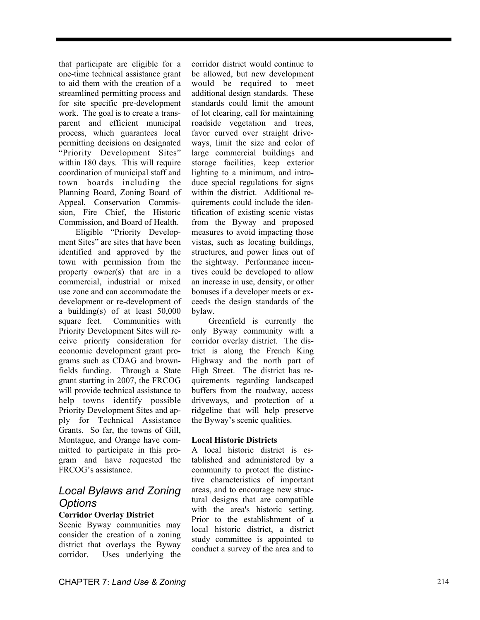that participate are eligible for a one-time technical assistance grant to aid them with the creation of a streamlined permitting process and for site specific pre-development work. The goal is to create a transparent and efficient municipal process, which guarantees local permitting decisions on designated "Priority Development Sites" within 180 days. This will require coordination of municipal staff and town boards including the Planning Board, Zoning Board of Appeal, Conservation Commission, Fire Chief, the Historic Commission, and Board of Health.

Eligible "Priority Development Sites" are sites that have been identified and approved by the town with permission from the property owner(s) that are in a commercial, industrial or mixed use zone and can accommodate the development or re-development of a building(s) of at least 50,000 square feet. Communities with Priority Development Sites will receive priority consideration for economic development grant programs such as CDAG and brownfields funding. Through a State grant starting in 2007, the FRCOG will provide technical assistance to help towns identify possible Priority Development Sites and apply for Technical Assistance Grants. So far, the towns of Gill, Montague, and Orange have committed to participate in this program and have requested the FRCOG's assistance.

## *Local Bylaws and Zoning Options*

#### **Corridor Overlay District**

Scenic Byway communities may consider the creation of a zoning district that overlays the Byway corridor. Uses underlying the

corridor district would continue to be allowed, but new development would be required to meet additional design standards. These standards could limit the amount of lot clearing, call for maintaining roadside vegetation and trees, favor curved over straight driveways, limit the size and color of large commercial buildings and storage facilities, keep exterior lighting to a minimum, and introduce special regulations for signs within the district. Additional requirements could include the identification of existing scenic vistas from the Byway and proposed measures to avoid impacting those vistas, such as locating buildings, structures, and power lines out of the sightway. Performance incentives could be developed to allow an increase in use, density, or other bonuses if a developer meets or exceeds the design standards of the bylaw.

Greenfield is currently the only Byway community with a corridor overlay district. The district is along the French King Highway and the north part of High Street. The district has requirements regarding landscaped buffers from the roadway, access driveways, and protection of a ridgeline that will help preserve the Byway's scenic qualities.

#### **Local Historic Districts**

A local historic district is established and administered by a community to protect the distinctive characteristics of important areas, and to encourage new structural designs that are compatible with the area's historic setting. Prior to the establishment of a local historic district, a district study committee is appointed to conduct a survey of the area and to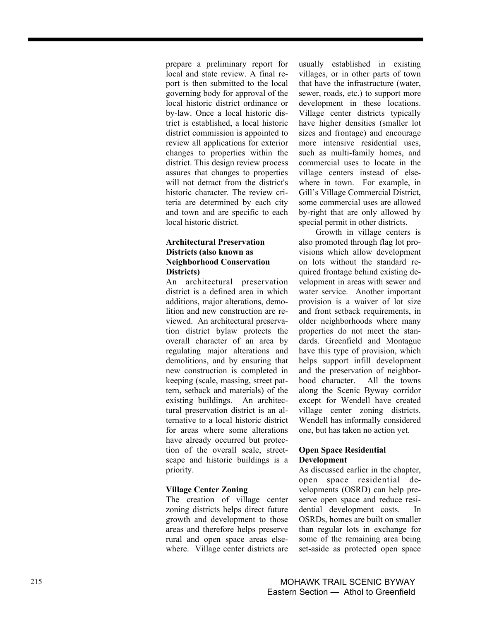prepare a preliminary report for local and state review. A final report is then submitted to the local governing body for approval of the local historic district ordinance or by-law. Once a local historic district is established, a local historic district commission is appointed to review all applications for exterior changes to properties within the district. This design review process assures that changes to properties will not detract from the district's historic character. The review criteria are determined by each city and town and are specific to each local historic district.

#### **Architectural Preservation Districts (also known as Neighborhood Conservation Districts)**

An architectural preservation district is a defined area in which additions, major alterations, demolition and new construction are reviewed. An architectural preservation district bylaw protects the overall character of an area by regulating major alterations and demolitions, and by ensuring that new construction is completed in keeping (scale, massing, street pattern, setback and materials) of the existing buildings. An architectural preservation district is an alternative to a local historic district for areas where some alterations have already occurred but protection of the overall scale, streetscape and historic buildings is a priority.

#### **Village Center Zoning**

The creation of village center zoning districts helps direct future growth and development to those areas and therefore helps preserve rural and open space areas elsewhere. Village center districts are usually established in existing villages, or in other parts of town that have the infrastructure (water, sewer, roads, etc.) to support more development in these locations. Village center districts typically have higher densities (smaller lot sizes and frontage) and encourage more intensive residential uses, such as multi-family homes, and commercial uses to locate in the village centers instead of elsewhere in town. For example, in Gill's Village Commercial District, some commercial uses are allowed by-right that are only allowed by special permit in other districts.

Growth in village centers is also promoted through flag lot provisions which allow development on lots without the standard required frontage behind existing development in areas with sewer and water service. Another important provision is a waiver of lot size and front setback requirements, in older neighborhoods where many properties do not meet the standards. Greenfield and Montague have this type of provision, which helps support infill development and the preservation of neighborhood character. All the towns along the Scenic Byway corridor except for Wendell have created village center zoning districts. Wendell has informally considered one, but has taken no action yet.

#### **Open Space Residential Development**

As discussed earlier in the chapter, open space residential developments (OSRD) can help preserve open space and reduce residential development costs. In OSRDs, homes are built on smaller than regular lots in exchange for some of the remaining area being set-aside as protected open space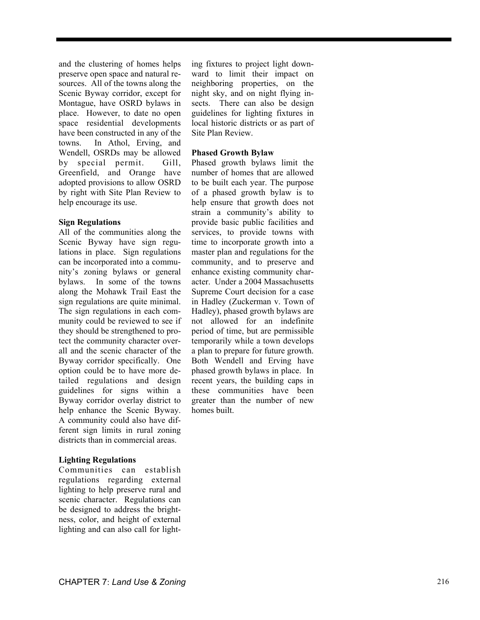and the clustering of homes helps preserve open space and natural resources. All of the towns along the Scenic Byway corridor, except for Montague, have OSRD bylaws in place. However, to date no open space residential developments have been constructed in any of the towns. In Athol, Erving, and Wendell, OSRDs may be allowed by special permit. Gill, Greenfield, and Orange have adopted provisions to allow OSRD by right with Site Plan Review to help encourage its use.

#### **Sign Regulations**

All of the communities along the Scenic Byway have sign regulations in place. Sign regulations can be incorporated into a community's zoning bylaws or general bylaws. In some of the towns along the Mohawk Trail East the sign regulations are quite minimal. The sign regulations in each community could be reviewed to see if they should be strengthened to protect the community character overall and the scenic character of the Byway corridor specifically. One option could be to have more detailed regulations and design guidelines for signs within a Byway corridor overlay district to help enhance the Scenic Byway. A community could also have different sign limits in rural zoning districts than in commercial areas.

#### **Lighting Regulations**

Communities can establish regulations regarding external lighting to help preserve rural and scenic character. Regulations can be designed to address the brightness, color, and height of external lighting and can also call for light-

ing fixtures to project light downward to limit their impact on neighboring properties, on the night sky, and on night flying insects. There can also be design guidelines for lighting fixtures in local historic districts or as part of Site Plan Review.

#### **Phased Growth Bylaw**

Phased growth bylaws limit the number of homes that are allowed to be built each year. The purpose of a phased growth bylaw is to help ensure that growth does not strain a community's ability to provide basic public facilities and services, to provide towns with time to incorporate growth into a master plan and regulations for the community, and to preserve and enhance existing community character. Under a 2004 Massachusetts Supreme Court decision for a case in Hadley (Zuckerman v. Town of Hadley), phased growth bylaws are not allowed for an indefinite period of time, but are permissible temporarily while a town develops a plan to prepare for future growth. Both Wendell and Erving have phased growth bylaws in place. In recent years, the building caps in these communities have been greater than the number of new homes built.